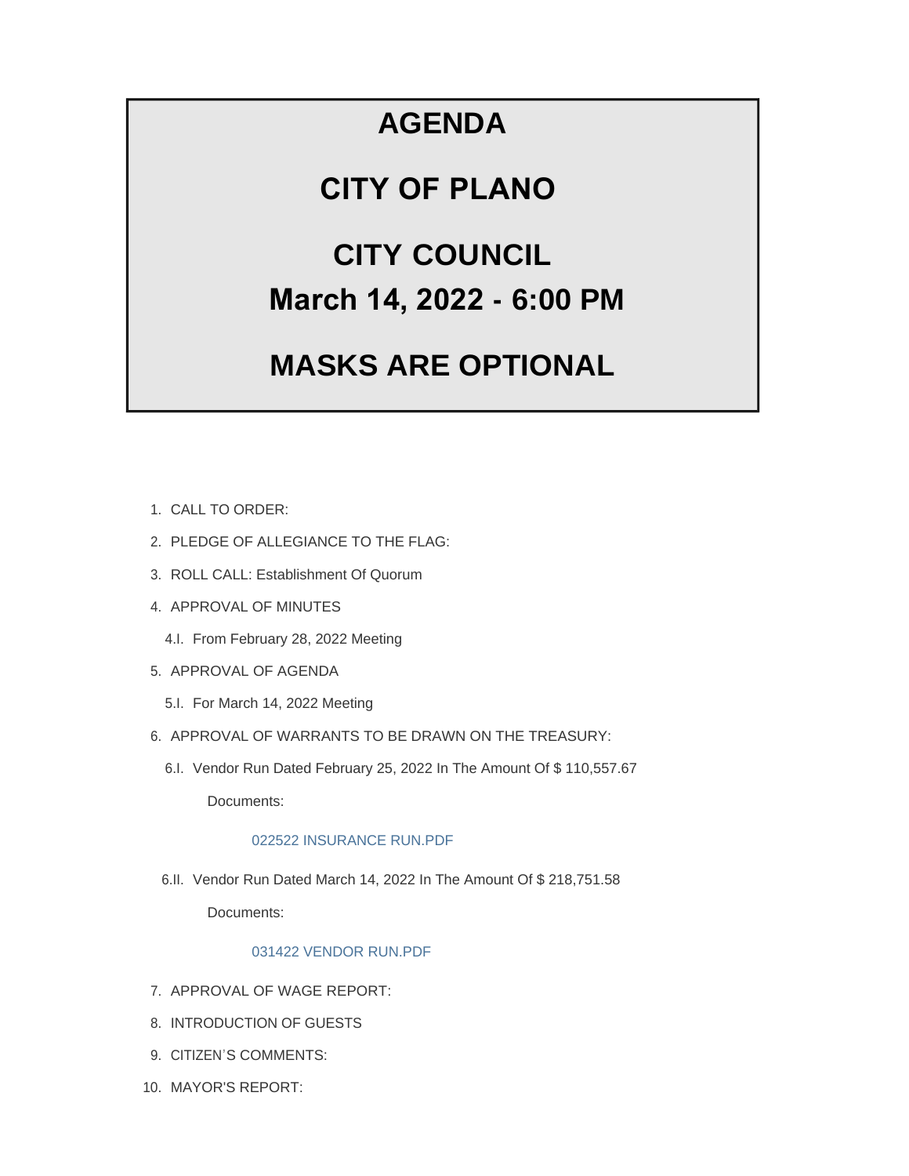## **AGENDA**

### **CITY OF PLANO**

# **CITY COUNCIL March 14, 2022 - 6:00 PM**

# **MASKS ARE OPTIONAL**

- CALL TO ORDER: 1.
- 2. PLEDGE OF ALLEGIANCE TO THE FLAG:
- 3. ROLL CALL: Establishment Of Quorum
- 4. APPROVAL OF MINUTES
	- 4.I. From February 28, 2022 Meeting
- 5. APPROVAL OF AGENDA
	- 5.I. For March 14, 2022 Meeting
- 6. APPROVAL OF WARRANTS TO BE DRAWN ON THE TREASURY:
	- 6.I. Vendor Run Dated February 25, 2022 In The Amount Of \$110,557.67

Documents:

#### 022522 INSURANCE RUN.PDF

6.II. Vendor Run Dated March 14, 2022 In The Amount Of \$ 218,751.58

Documents:

#### 031422 VENDOR RUN.PDF

- 7. APPROVAL OF WAGE REPORT:
- 8. INTRODUCTION OF GUESTS
- 9. CITIZEN'S COMMENTS:
- 10. MAYOR'S REPORT: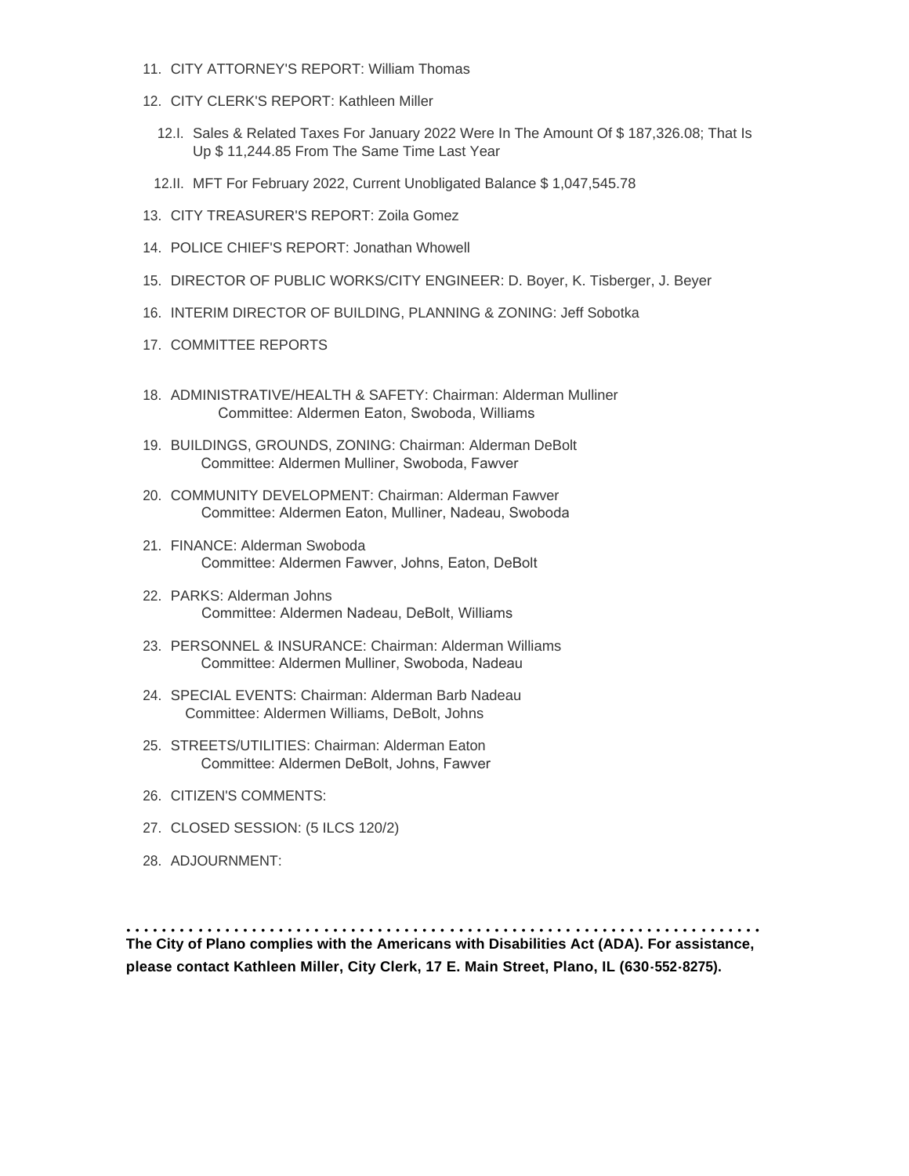- 11. CITY ATTORNEY'S REPORT: William Thomas
- CITY CLERK'S REPORT: Kathleen Miller 12.
	- 12.I. Sales & Related Taxes For January 2022 Were In The Amount Of \$ 187,326.08; That Is Up \$ 11,244.85 From The Same Time Last Year
- MFT For February 2022, Current Unobligated Balance \$ 1,047,545.78 12.II.
- CITY TREASURER'S REPORT: Zoila Gomez 13.
- 14. POLICE CHIEF'S REPORT: Jonathan Whowell
- 15. DIRECTOR OF PUBLIC WORKS/CITY ENGINEER: D. Boyer, K. Tisberger, J. Beyer
- 16. INTERIM DIRECTOR OF BUILDING, PLANNING & ZONING: Jeff Sobotka
- 17. COMMITTEE REPORTS
- 18. ADMINISTRATIVE/HEALTH & SAFETY: Chairman: Alderman Mulliner Committee: Aldermen Eaton, Swoboda, Williams
- BUILDINGS, GROUNDS, ZONING: Chairman: Alderman DeBolt 19. Committee: Aldermen Mulliner, Swoboda, Fawver
- 20. COMMUNITY DEVELOPMENT: Chairman: Alderman Fawver Committee: Aldermen Eaton, Mulliner, Nadeau, Swoboda
- FINANCE: Alderman Swoboda 21. Committee: Aldermen Fawver, Johns, Eaton, DeBolt
- PARKS: Alderman Johns 22. Committee: Aldermen Nadeau, DeBolt, Williams
- PERSONNEL & INSURANCE: Chairman: Alderman Williams 23. Committee: Aldermen Mulliner, Swoboda, Nadeau
- 24. SPECIAL EVENTS: Chairman: Alderman Barb Nadeau Committee: Aldermen Williams, DeBolt, Johns
- 25. STREETS/UTILITIES: Chairman: Alderman Eaton Committee: Aldermen DeBolt, Johns, Fawver
- 26. CITIZEN'S COMMENTS:
- CLOSED SESSION: (5 ILCS 120/2) 27.
- 28. ADJOURNMENT:

**The City of Plano complies with the Americans with Disabilities Act (ADA). For assistance, please contact Kathleen Miller, City Clerk, 17 E. Main Street, Plano, IL (630-552-8275).**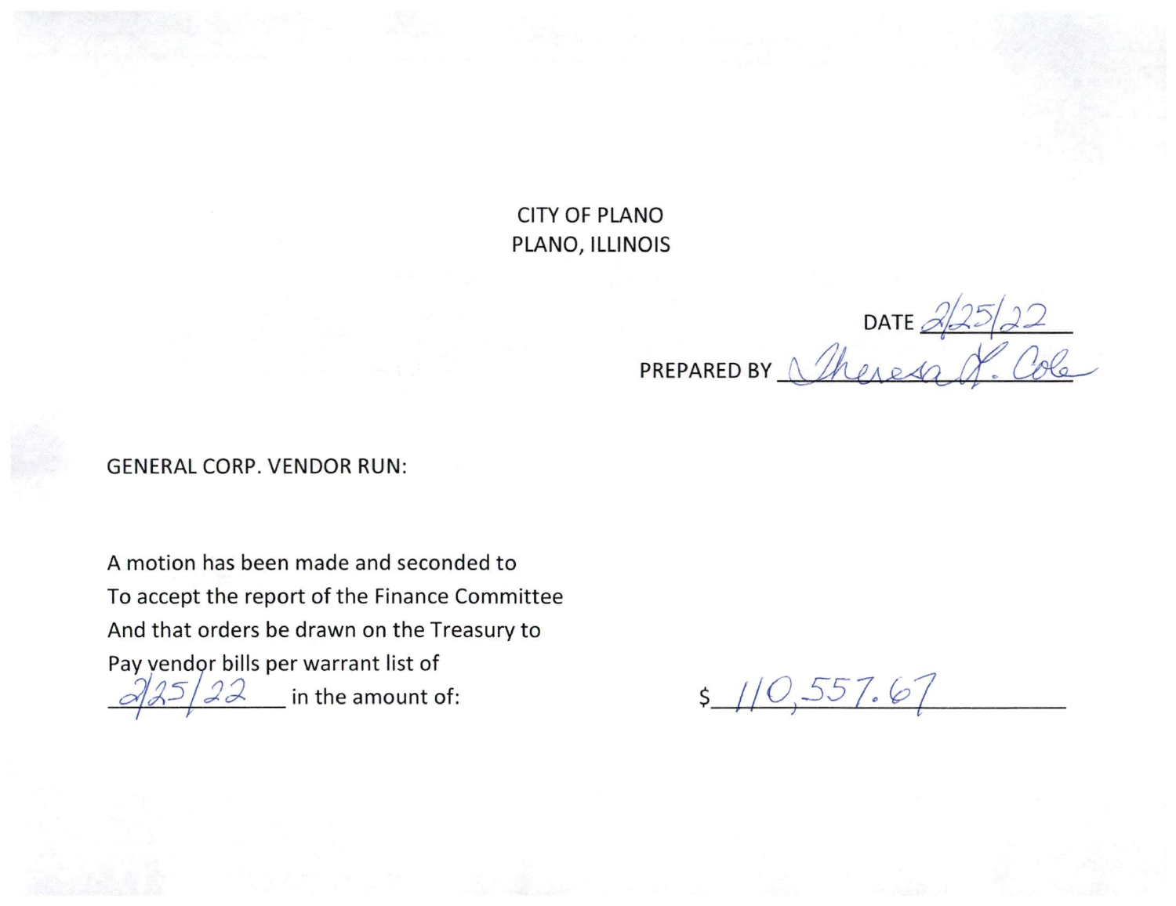**CITY OF PLANO** PLANO, ILLINOIS

DATE  $\frac{\partial f^2}{\partial \rho}$ PREPARED BY

**GENERAL CORP. VENDOR RUN:** 

A motion has been made and seconded to To accept the report of the Finance Committee And that orders be drawn on the Treasury to Pay vendor bills per warrant list of in the amount of:  $22$ 

 $5/10,557.67$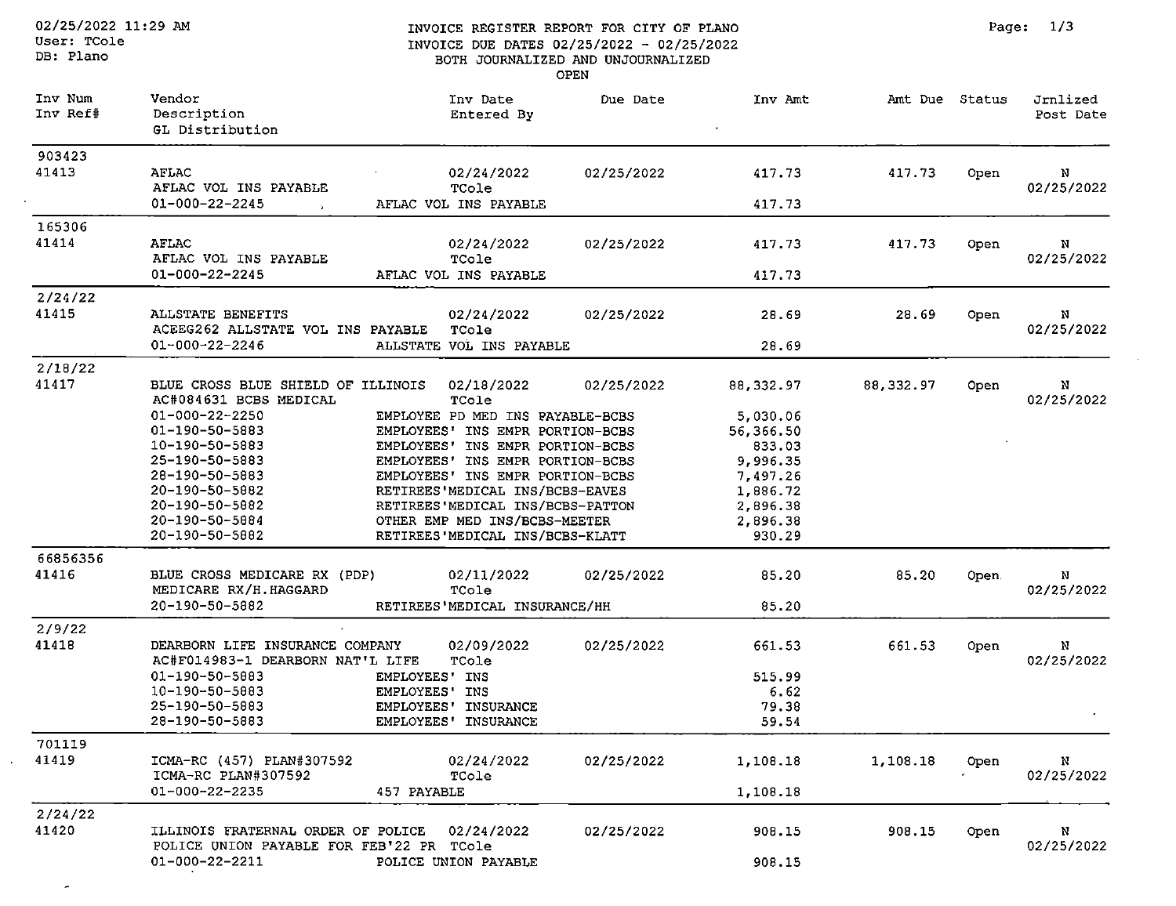$\overline{\phantom{a}}$ 

#### INVOICE REGISTER REPORT FOR CITY OF PLANO INVOICE DUE DATES 02/25/2022 - 02/25/2022 BOTH JOURNALIZED AND UNJOURNALIZED OPEN

| Inv Num<br>Inv Ref# | Vendor<br>Description<br>GL Distribution                                                  | Inv Date<br>Entered By           | Due Date   | Inv Amt    | Amt Due Status |       | Jrnlized<br>Post Date |
|---------------------|-------------------------------------------------------------------------------------------|----------------------------------|------------|------------|----------------|-------|-----------------------|
| 903423              |                                                                                           |                                  |            |            |                |       |                       |
| 41413               | AFLAC<br>AFLAC VOL INS PAYABLE                                                            | 02/24/2022<br>TCole              | 02/25/2022 | 417.73     | 417.73         | Open  | N<br>02/25/2022       |
|                     | $01 - 000 - 22 - 2245$<br>in 1999.                                                        | AFLAC VOL INS PAYABLE            |            | 417.73     |                |       |                       |
| 165306              |                                                                                           |                                  |            |            |                |       |                       |
| 41414               | <b>AFLAC</b><br>AFLAC VOL INS PAYABLE                                                     | 02/24/2022<br>TCole              | 02/25/2022 | 417.73     | 417.73         | Open  | N<br>02/25/2022       |
|                     | 01-000-22-2245                                                                            | AFLAC VOL INS PAYABLE            |            | 417.73     |                |       |                       |
| 2/24/22             |                                                                                           |                                  |            |            |                |       |                       |
| 41415               | ALLSTATE BENEFITS<br>ACEEG262 ALLSTATE VOL INS PAYABLE                                    | 02/24/2022<br>TCole              | 02/25/2022 | 28.69      | 28.69          | Open  | N<br>02/25/2022       |
|                     | $01 - 000 - 22 - 2246$                                                                    | ALLSTATE VOL INS PAYABLE         |            | 28.69      |                |       |                       |
| 2/18/22             |                                                                                           |                                  |            |            |                |       |                       |
| 41417               | BLUE CROSS BLUE SHIELD OF ILLINOIS<br>AC#084631 BCBS MEDICAL                              | 02/18/2022<br>TCole              | 02/25/2022 | 88, 332.97 | 88, 332.97     | Open  | N<br>02/25/2022       |
|                     | $01 - 000 - 22 - 2250$                                                                    | EMPLOYEE PD MED INS PAYABLE-BCBS |            | 5,030.06   |                |       |                       |
|                     | 01-190-50-5883                                                                            | EMPLOYEES' INS EMPR PORTION-BCBS |            | 56,366.50  |                |       |                       |
|                     | 10-190-50-5883                                                                            | EMPLOYEES' INS EMPR PORTION-BCBS |            | 833.03     |                |       |                       |
|                     | 25-190-50-5883                                                                            | EMPLOYEES' INS EMPR PORTION-BCBS |            | 9,996.35   |                |       |                       |
|                     | 28-190-50-5883                                                                            | EMPLOYEES' INS EMPR PORTION-BCBS |            | 7,497.26   |                |       |                       |
|                     | 20-190-50-5882                                                                            | RETIREES'MEDICAL INS/BCBS-EAVES  |            | 1,886.72   |                |       |                       |
|                     | 20-190-50-5882                                                                            | RETIREES'MEDICAL INS/BCBS-PATTON |            | 2,896.38   |                |       |                       |
|                     | $20 - 190 - 50 - 5884$                                                                    | OTHER EMP MED INS/BCBS-MEETER    |            | 2,896.38   |                |       |                       |
|                     | 20-190-50-5882                                                                            | RETIREES'MEDICAL INS/BCBS-KLATT  |            | 930.29     |                |       |                       |
| 66856356            |                                                                                           |                                  |            |            |                |       |                       |
| 41416               | BLUE CROSS MEDICARE RX (PDP)<br>MEDICARE RX/H.HAGGARD                                     | 02/11/2022<br>TCole              | 02/25/2022 | 85.20      | 85.20          | Open. | N<br>02/25/2022       |
|                     | 20-190-50-5882                                                                            | RETIREES'MEDICAL INSURANCE/HH    |            | 85.20      |                |       |                       |
| 2/9/22              |                                                                                           |                                  |            |            |                |       |                       |
| 41418               | DEARBORN LIFE INSURANCE COMPANY<br>AC#F014983-1 DEARBORN NAT'L LIFE                       | 02/09/2022<br>TCole              | 02/25/2022 | 661.53     | 661.53         | Open  | N<br>02/25/2022       |
|                     | $01 - 190 - 50 - 5883$                                                                    | EMPLOYEES' INS                   |            | 515.99     |                |       |                       |
|                     | 10-190-50-5883                                                                            | EMPLOYEES' INS                   |            | 6.62       |                |       |                       |
|                     | 25-190-50-5883                                                                            | EMPLOYEES' INSURANCE             |            | 79.38      |                |       |                       |
|                     | 28-190-50-5883                                                                            | EMPLOYEES' INSURANCE             |            | 59.54      |                |       |                       |
| 701119              |                                                                                           |                                  |            |            |                |       |                       |
| 41419               | ICMA-RC (457) PLAN#307592                                                                 | 02/24/2022                       | 02/25/2022 | 1,108.18   | 1,108.18       | Open  | N                     |
|                     | ICMA-RC PLAN#307592                                                                       | TCole                            |            |            |                |       | 02/25/2022            |
|                     | 01-000-22-2235                                                                            | 457 PAYABLE                      |            | 1,108.18   |                |       |                       |
| 2/24/22             |                                                                                           |                                  |            |            |                |       |                       |
| 41420               | ILLINOIS FRATERNAL ORDER OF POLICE 02/24/2022<br>POLICE UNION PAYABLE FOR FEB'22 PR TCole |                                  | 02/25/2022 | 908.15     | 908.15         | Open  | N<br>02/25/2022       |
|                     | 01-000-22-2211                                                                            | POLICE UNION PAYABLE             |            | 908.15     |                |       |                       |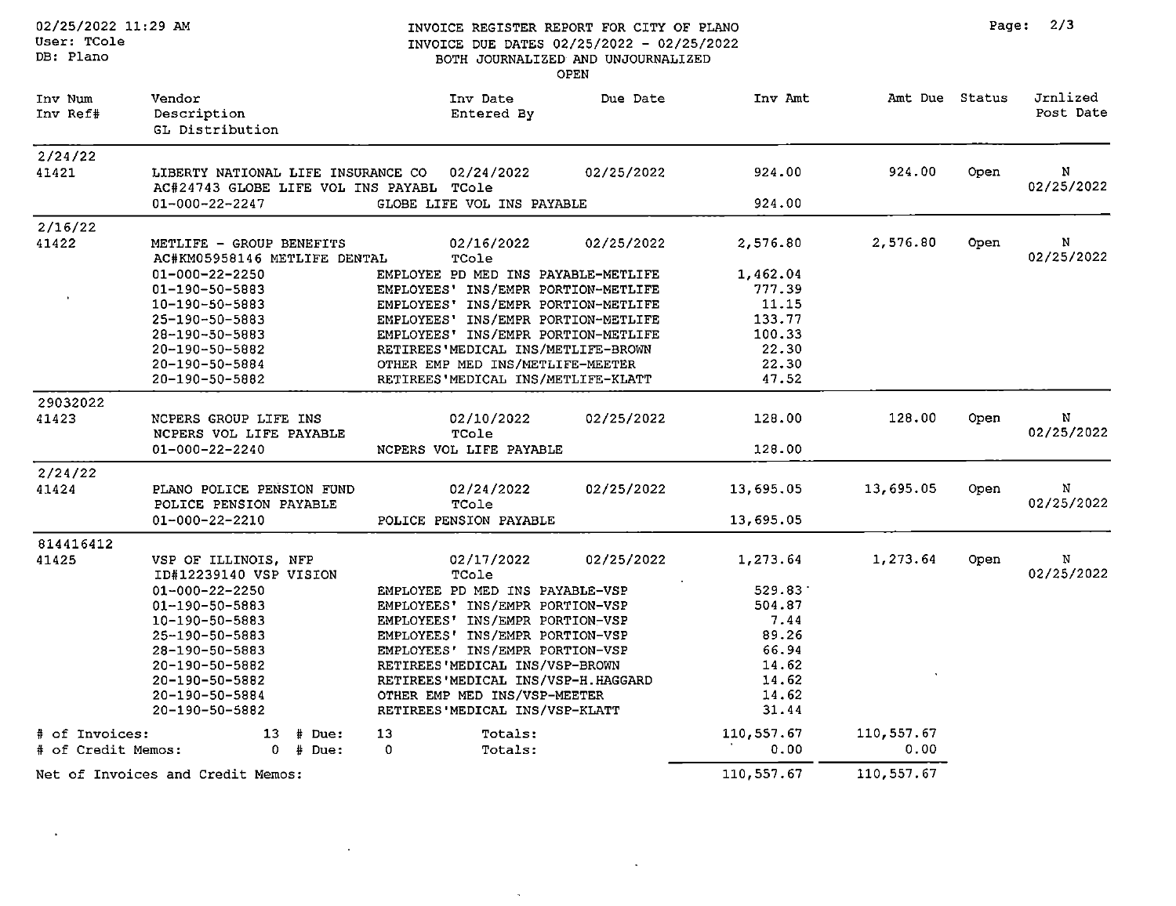Page:  $2/3$ 

02/25/2022 11:29 AM User: TCole DB: Plano

 $\sim$ 

 $\sim$ 

#### INVOICE REGISTER REPORT FOR CITY OF PLANO INVOICE DUE DATES 02/25/2022 - 02/25/2022 BOTH JOURNALIZED AND UNJOURNALIZED OPEN

| Inv Num<br>Inv Ref#                  | Vendor<br>Description<br>GL Distribution                                                                                                                                                                                 | Inv Date<br>Entered By                                                                                                                                                                                                                                                                                                                       | Due Date   | Inv Amt                                                                                    | Amt Due Status     |      | Jrnlized<br>Post Date |
|--------------------------------------|--------------------------------------------------------------------------------------------------------------------------------------------------------------------------------------------------------------------------|----------------------------------------------------------------------------------------------------------------------------------------------------------------------------------------------------------------------------------------------------------------------------------------------------------------------------------------------|------------|--------------------------------------------------------------------------------------------|--------------------|------|-----------------------|
| 2/24/22<br>41421                     | LIBERTY NATIONAL LIFE INSURANCE CO<br>AC#24743 GLOBE LIFE VOL INS PAYABL TCole<br>$01 - 000 - 22 - 2247$                                                                                                                 | 02/24/2022<br>GLOBE LIFE VOL INS PAYABLE                                                                                                                                                                                                                                                                                                     | 02/25/2022 | 924.00<br>924.00                                                                           | 924.00             | Open | N<br>02/25/2022       |
| 2/16/22<br>41422                     | METLIFE - GROUP BENEFITS<br>AC#KM05958146 METLIFE DENTAL                                                                                                                                                                 | 02/16/2022<br>TCole                                                                                                                                                                                                                                                                                                                          | 02/25/2022 | 2,576.80                                                                                   | 2,576.80           | Open | N<br>02/25/2022       |
|                                      | 01-000-22-2250<br>01-190-50-5883<br>10-190-50-5883<br>25-190-50-5883<br>28-190-50-5883<br>20-190-50-5882<br>20-190-50-5884<br>20-190-50-5882                                                                             | EMPLOYEE PD MED INS PAYABLE-METLIFE<br>EMPLOYEES' INS/EMPR PORTION-METLIFE<br>EMPLOYEES' INS/EMPR PORTION-METLIFE<br>EMPLOYEES' INS/EMPR PORTION-METLIFE<br>EMPLOYEES' INS/EMPR PORTION-METLIFE<br>RETIREES'MEDICAL INS/METLIFE-BROWN<br>OTHER EMP MED INS/METLIFE-MEETER<br>RETIREES'MEDICAL INS/METLIFE-KLATT                              |            | 1,462.04<br>777.39<br>11.15<br>133.77<br>100.33<br>22.30<br>22.30<br>47.52                 |                    |      |                       |
| 29032022<br>41423                    | NCPERS GROUP LIFE INS<br>NCPERS VOL LIFE PAYABLE<br>01-000-22-2240                                                                                                                                                       | 02/10/2022<br>TCole<br>NCPERS VOL LIFE PAYABLE                                                                                                                                                                                                                                                                                               | 02/25/2022 | 128.00<br>128.00                                                                           | 128.00             | Open | N<br>02/25/2022       |
| 2/24/22<br>41424                     | PLANO POLICE PENSION FUND<br>POLICE PENSION PAYABLE<br>01-000-22-2210                                                                                                                                                    | 02/24/2022<br>TCole<br>POLICE PENSION PAYABLE                                                                                                                                                                                                                                                                                                | 02/25/2022 | 13,695.05<br>13,695.05                                                                     | 13,695.05          | Open | N<br>02/25/2022       |
| 814416412<br>41425                   | VSP OF ILLINOIS, NFP<br>ID#12239140 VSP VISION<br>$01 - 000 - 22 - 2250$<br>01-190-50-5883<br>10-190-50-5883<br>25-190-50-5883<br>28-190-50-5883<br>20-190-50-5882<br>20-190-50-5882<br>20-190-50-5884<br>20-190-50-5882 | 02/17/2022<br>TCole<br>EMPLOYEE PD MED INS PAYABLE-VSP<br>EMPLOYEES' INS/EMPR PORTION-VSP<br>EMPLOYEES' INS/EMPR PORTION-VSP<br>EMPLOYEES' INS/EMPR PORTION-VSP<br>EMPLOYEES' INS/EMPR PORTION-VSP<br>RETIREES'MEDICAL INS/VSP-BROWN<br>RETIREES'MEDICAL INS/VSP-H.HAGGARD<br>OTHER EMP MED INS/VSP-MEETER<br>RETIREES'MEDICAL INS/VSP-KLATT | 02/25/2022 | 1,273.64<br>529.83<br>504.87<br>7.44<br>89.26<br>66.94<br>14.62<br>14.62<br>14.62<br>31.44 | 1,273.64           | Open | N<br>02/25/2022       |
| # of Invoices:<br># of Credit Memos: | $13$ # Due:<br>$0$ # Due:                                                                                                                                                                                                | 13<br>Totals:<br>$\Omega$<br>Totals:                                                                                                                                                                                                                                                                                                         |            | 110,557.67<br>0.00                                                                         | 110,557.67<br>0.00 |      |                       |
|                                      | Net of Invoices and Credit Memos:                                                                                                                                                                                        |                                                                                                                                                                                                                                                                                                                                              |            | 110, 557.67                                                                                | 110,557.67         |      |                       |

 $\mathcal{L}$ 

 $\sim$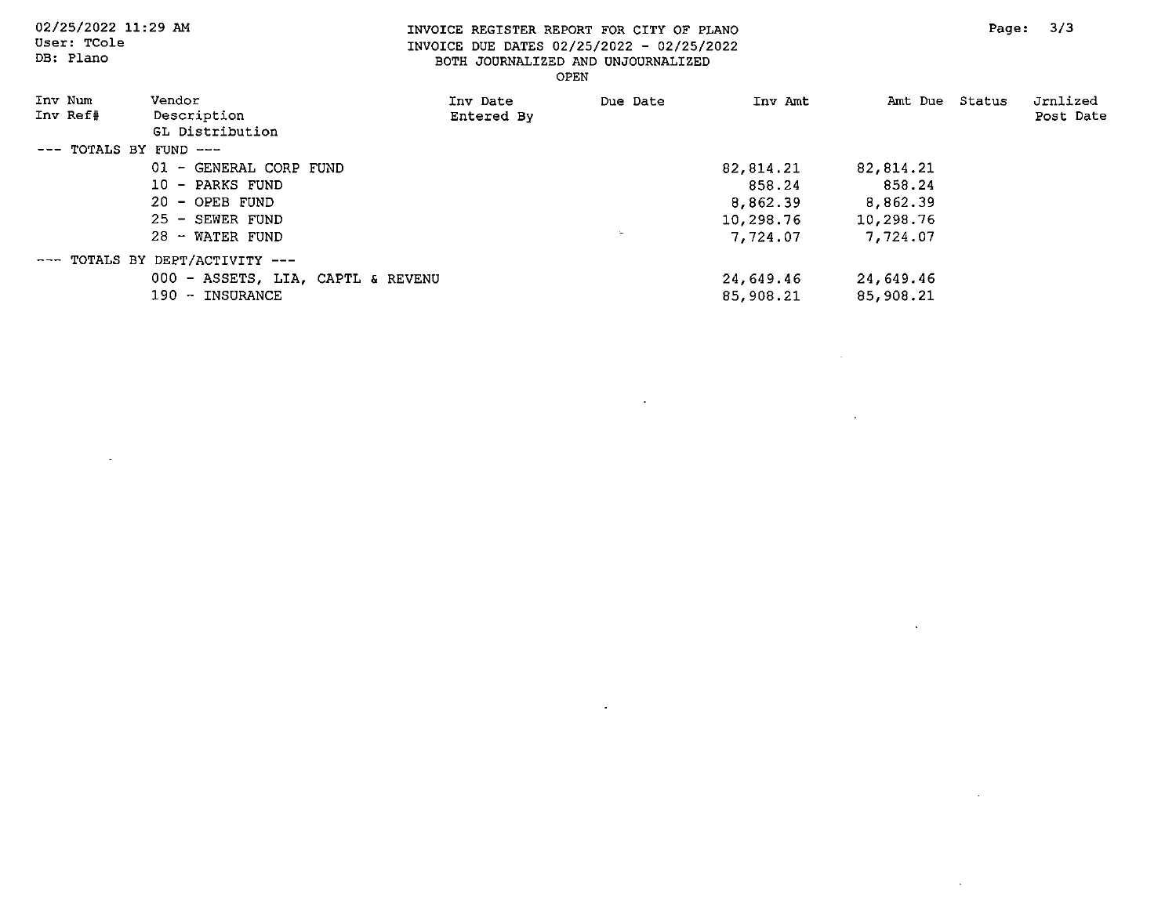$\sim 10^7$ 

 $\Box$ 

 $\sim$ 

 $\sim 10^7$ 

 $\sim$ 

DB: Plano

#### INVOICE REGISTER REPORT FOR CITY OF PLANO INVOICE DUE DATES 02/25/2022 - 02/25/2022 BOTH JOURNALIZED AND UNJOURNALIZED OPEN

| Inv Num<br>Inv Ref#        | Vendor<br>Description<br>GL Distribution | Inv Date<br>Entered By | Due Date | Inv Amt   | Amt Due Status | Jrnlized<br>Post Date |
|----------------------------|------------------------------------------|------------------------|----------|-----------|----------------|-----------------------|
| $---$ TOTALS BY FUND $---$ |                                          |                        |          |           |                |                       |
|                            | 01 - GENERAL CORP FUND                   |                        |          | 82,814.21 | 82,814.21      |                       |
|                            | 10 - PARKS FUND                          |                        |          | 858.24    | 858.24         |                       |
|                            | $20 -$ OPEB FUND                         |                        |          | 8,862.39  | 8,862.39       |                       |
|                            | 25 - SEWER FUND                          |                        |          | 10,298.76 | 10,298.76      |                       |
|                            | 28 - WATER FUND                          |                        | $\sim$   | 7,724.07  | 7,724.07       |                       |
|                            | $---$ TOTALS BY DEPT/ACTIVITY $---$      |                        |          |           |                |                       |
|                            | 000 - ASSETS, LIA, CAPTL & REVENU        |                        |          | 24,649.46 | 24,649.46      |                       |
|                            | 190 - INSURANCE                          |                        |          | 85,908.21 | 85,908.21      |                       |

 $\sim$ 

 $\bullet$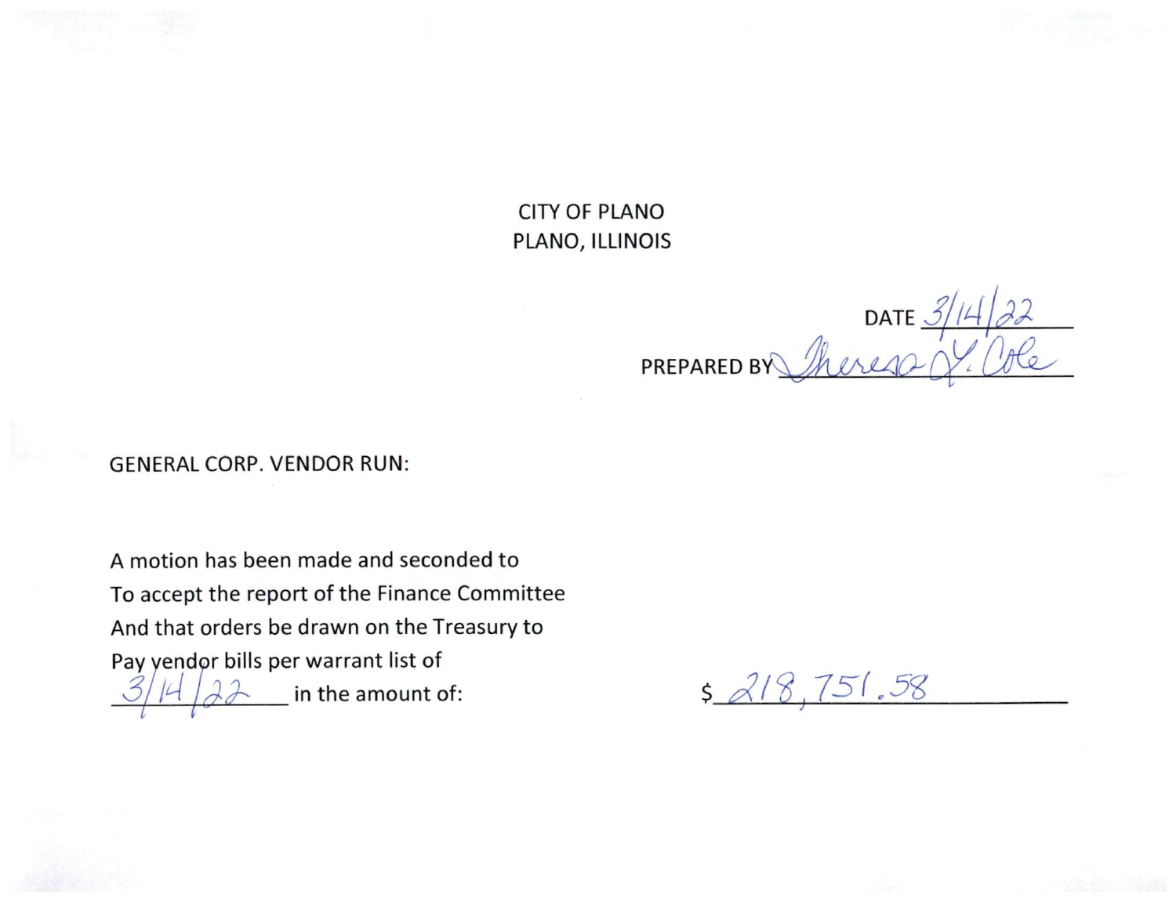**CITY OF PLANO** PLANO, ILLINOIS

DATE  $\frac{3/14}{1}$ PREPARED BY

**GENERAL CORP. VENDOR RUN:** 

A motion has been made and seconded to To accept the report of the Finance Committee And that orders be drawn on the Treasury to Pay yendor bills per warrant list of in the amount of:

 $$218,751.58$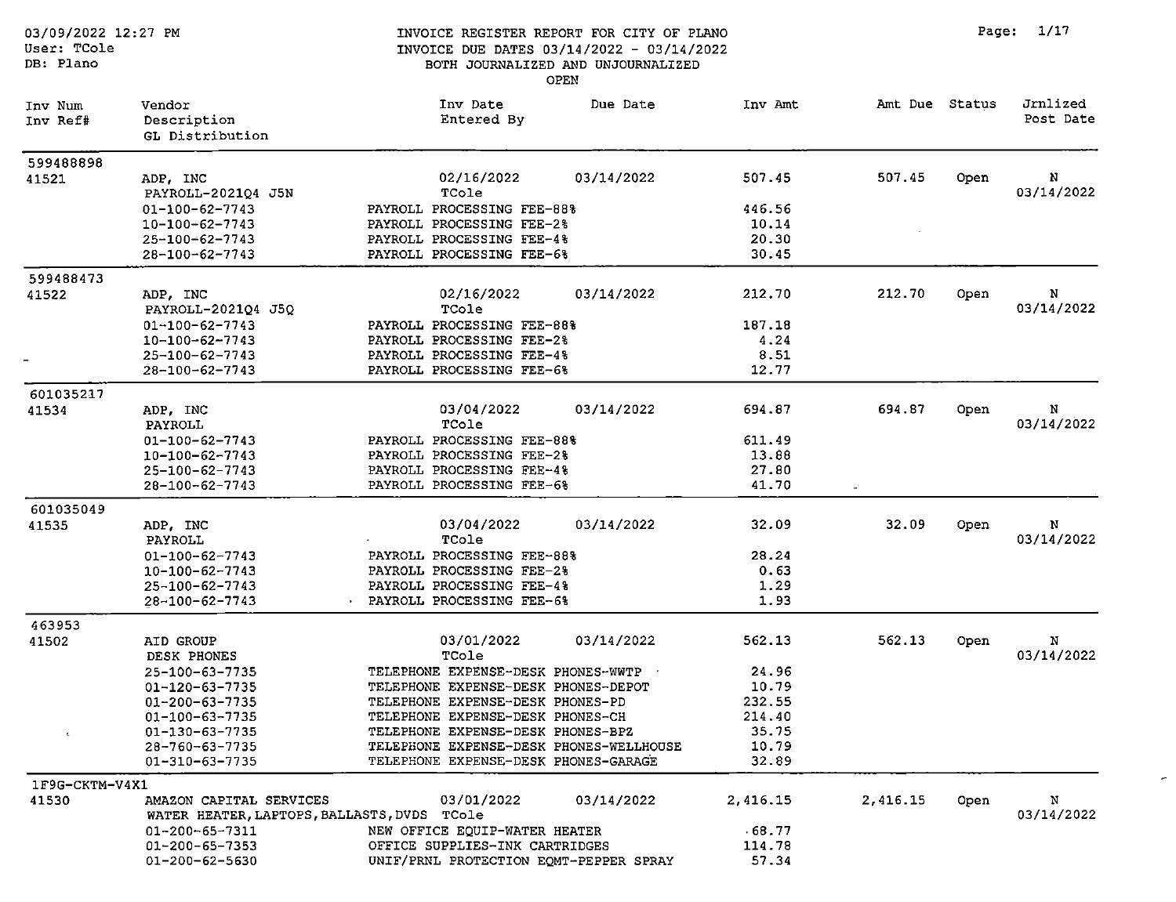| 03/09/2022 12:27 PM<br>User: TCole<br>DB: Plano |                                                                                                      |                                                                                                                     | INVOICE REGISTER REPORT FOR CITY OF PLANO<br>INVOICE DUE DATES 03/14/2022 - 03/14/2022<br>BOTH JOURNALIZED AND UNJOURNALIZED<br>OPEN |                                   |                | Page: | 1/17                  |
|-------------------------------------------------|------------------------------------------------------------------------------------------------------|---------------------------------------------------------------------------------------------------------------------|--------------------------------------------------------------------------------------------------------------------------------------|-----------------------------------|----------------|-------|-----------------------|
| Inv Num<br>Inv Ref#                             | Vendor<br>Description<br>GL Distribution                                                             | Inv Date<br>Entered By                                                                                              | Due Date                                                                                                                             | Inv Amt                           | Amt Due Status |       | Jrnlized<br>Post Date |
| 599488898<br>41521                              | ADP, INC<br>PAYROLL-2021Q4 J5N                                                                       | 02/16/2022<br>TCole                                                                                                 | 03/14/2022                                                                                                                           | 507.45                            | 507.45         | Open  | N<br>03/14/2022       |
|                                                 | 01-100-62-7743<br>10-100-62-7743<br>25-100-62-7743                                                   | PAYROLL PROCESSING FEE-88%<br>PAYROLL PROCESSING FEE-2%<br>PAYROLL PROCESSING FEE-4%                                |                                                                                                                                      | 446.56<br>10.14<br>20.30          |                |       |                       |
|                                                 | 28-100-62-7743                                                                                       | PAYROLL PROCESSING FEE-6%                                                                                           |                                                                                                                                      | 30.45                             |                |       |                       |
| 599488473<br>41522                              | ADP, INC<br>PAYROLL-2021Q4 J5Q                                                                       | 02/16/2022<br>TCole                                                                                                 | 03/14/2022                                                                                                                           | 212.70                            | 212.70         | Open  | N<br>03/14/2022       |
|                                                 | $01 - 100 - 62 - 7743$<br>$10 - 100 - 62 - 7743$<br>$25 - 100 - 62 - 7743$<br>$28 - 100 - 62 - 7743$ | PAYROLL PROCESSING FEE-88%<br>PAYROLL PROCESSING FEE-2%<br>PAYROLL PROCESSING FEE-4%<br>PAYROLL PROCESSING FEE-6%   |                                                                                                                                      | 187.18<br>4.24<br>8.51<br>12.77   |                |       |                       |
| 601035217                                       |                                                                                                      |                                                                                                                     |                                                                                                                                      |                                   |                |       |                       |
| 41534                                           | ADP, INC<br>PAYROLL                                                                                  | 03/04/2022<br>TCole                                                                                                 | 03/14/2022                                                                                                                           | 694.87                            | 694.87         | Open  | N<br>03/14/2022       |
|                                                 | 01-100-62-7743<br>10-100-62-7743<br>$25 - 100 - 62 - 7743$<br>28-100-62-7743                         | PAYROLL PROCESSING FEE-88%<br>PAYROLL PROCESSING FEE-2%<br>PAYROLL PROCESSING FEE-4%<br>PAYROLL PROCESSING FEE-6%   |                                                                                                                                      | 611.49<br>13.88<br>27.80<br>41.70 |                |       |                       |
|                                                 |                                                                                                      |                                                                                                                     |                                                                                                                                      |                                   | $\sim$         |       |                       |
| 601035049<br>41535                              | ADP, INC<br>PAYROLL                                                                                  | 03/04/2022<br>TCole                                                                                                 | 03/14/2022                                                                                                                           | 32.09                             | 32.09          | Open  | N<br>03/14/2022       |
|                                                 | 01-100-62-7743<br>10-100-62-7743<br>$25 - 100 - 62 - 7743$<br>28-100-62-7743                         | PAYROLL PROCESSING FEE-88%<br>PAYROLL PROCESSING FEE-2%<br>PAYROLL PROCESSING FEE-4%<br>· PAYROLL PROCESSING FEE-6% |                                                                                                                                      | 28.24<br>0.63<br>1.29<br>1.93     |                |       |                       |
|                                                 |                                                                                                      |                                                                                                                     |                                                                                                                                      |                                   |                |       |                       |
| 463953<br>41502                                 | AID GROUP<br>DESK PHONES                                                                             | 03/01/2022<br>TCole                                                                                                 | 03/14/2022                                                                                                                           | 562.13                            | 562.13         | Open  | N<br>03/14/2022       |
|                                                 | 25-100-63-7735<br>01-120-63-7735<br>01-200-63-7735                                                   | TELEPHONE EXPENSE-DESK PHONES-WWTP<br>TELEPHONE EXPENSE-DESK PHONES-DEPOT<br>TELEPHONE EXPENSE-DESK PHONES-PD       |                                                                                                                                      | 24.96<br>10.79<br>232.55          |                |       |                       |
| $\epsilon$                                      | 01-100-63-7735<br>$01 - 130 - 63 - 7735$                                                             | TELEPHONE EXPENSE-DESK PHONES-CH<br>TELEPHONE EXPENSE-DESK PHONES-BPZ                                               |                                                                                                                                      | 214.40<br>35.75                   |                |       |                       |
|                                                 | 28-760-63-7735<br>01-310-63-7735                                                                     | TELEPHONE EXPENSE-DESK PHONES-WELLHOUSE<br>TELEPHONE EXPENSE-DESK PHONES-GARAGE                                     |                                                                                                                                      | 10.79<br>32.89                    |                |       |                       |
| 1F9G-CKTM-V4X1                                  |                                                                                                      |                                                                                                                     |                                                                                                                                      |                                   |                |       |                       |
| 41530                                           | AMAZON CAPITAL SERVICES<br>WATER HEATER, LAPTOPS, BALLASTS, DVDS TCole                               | 03/01/2022                                                                                                          | 03/14/2022                                                                                                                           | 2,416.15                          | 2,416.15       | Open  | N<br>03/14/2022       |
|                                                 | 01-200-65-7311                                                                                       | NEW OFFICE EQUIP-WATER HEATER                                                                                       |                                                                                                                                      | 68.77                             |                |       |                       |
|                                                 | $01 - 200 - 65 - 7353$<br>$01 - 200 - 62 - 5630$                                                     | OFFICE SUPPLIES-INK CARTRIDGES<br>UNIF/PRNL PROTECTION EQMT-PEPPER SPRAY                                            |                                                                                                                                      | 114.78<br>57.34                   |                |       |                       |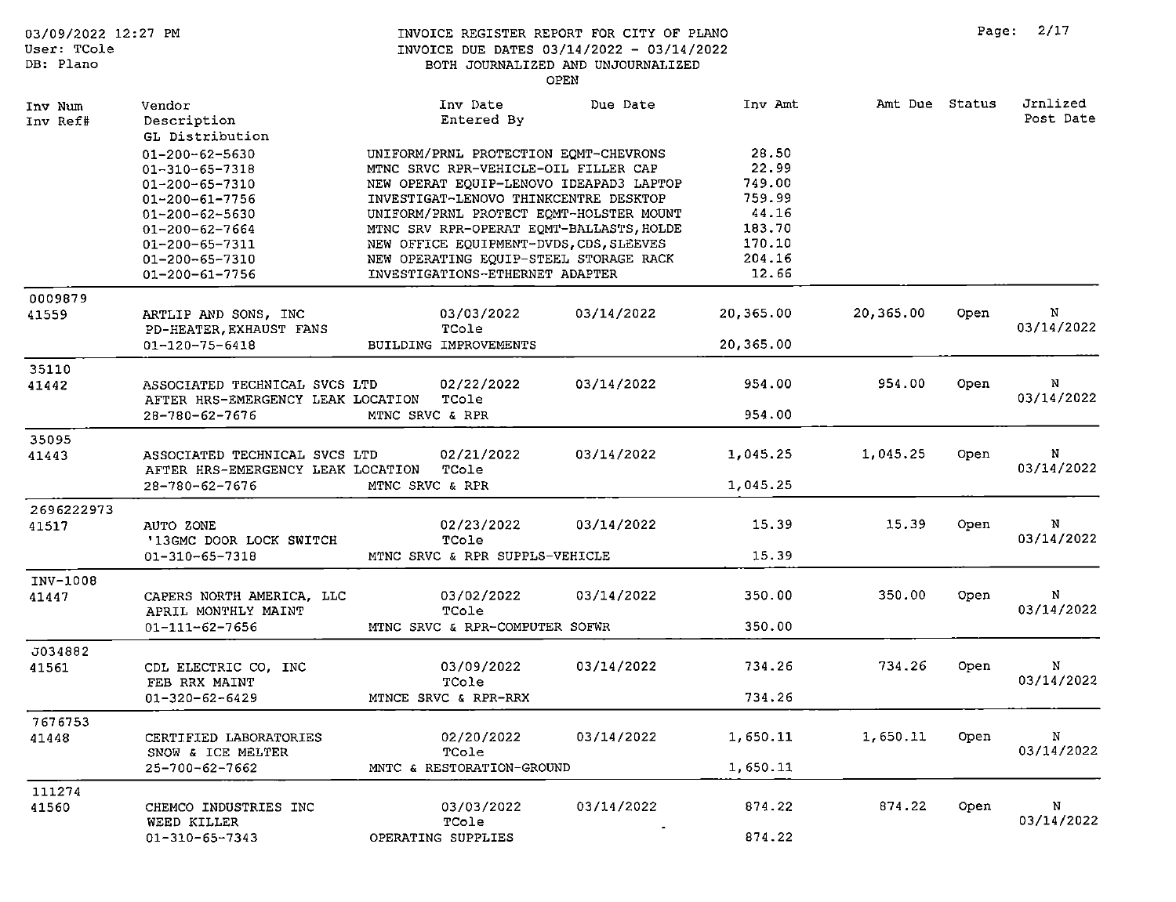| 03/09/2022 12:27 PM<br>User: TCole<br>DB: Plano |                                                     | INVOICE REGISTER REPORT FOR CITY OF PLANO<br>INVOICE DUE DATES 03/14/2022 - 03/14/2022 | BOTH JOURNALIZED AND UNJOURNALIZED<br>OPEN |           |                |      | Page: 2/17            |
|-------------------------------------------------|-----------------------------------------------------|----------------------------------------------------------------------------------------|--------------------------------------------|-----------|----------------|------|-----------------------|
| Inv Num<br>Inv Ref#                             | Vendor<br>Description<br>GL Distribution            | Inv Date<br>Entered By                                                                 | Due Date                                   | Inv Amt   | Amt Due Status |      | Jrnlized<br>Post Date |
|                                                 | 01-200-62-5630                                      | UNIFORM/PRNL PROTECTION EQMT-CHEVRONS                                                  |                                            | 28.50     |                |      |                       |
|                                                 | 01-310-65-7318                                      | MTNC SRVC RPR-VEHICLE-OIL FILLER CAP                                                   |                                            | 22.99     |                |      |                       |
|                                                 | 01-200-65-7310                                      | NEW OPERAT EQUIP-LENOVO IDEAPAD3 LAPTOP                                                |                                            | 749.00    |                |      |                       |
|                                                 | $01 - 200 - 61 - 7756$                              | INVESTIGAT-LENOVO THINKCENTRE DESKTOP                                                  |                                            | 759.99    |                |      |                       |
|                                                 | 01-200-62-5630                                      | UNIFORM/PRNL PROTECT EQMT-HOLSTER MOUNT                                                |                                            | 44.16     |                |      |                       |
|                                                 | $01 - 200 - 62 - 7664$                              | MTNC SRV RPR-OPERAT EOMT-BALLASTS, HOLDE                                               |                                            | 183.70    |                |      |                       |
|                                                 | 01-200-65-7311                                      | NEW OFFICE EQUIPMENT-DVDS, CDS, SLEEVES                                                |                                            | 170.10    |                |      |                       |
|                                                 | 01-200-65-7310                                      | NEW OPERATING EQUIP-STEEL STORAGE RACK                                                 |                                            | 204.16    |                |      |                       |
|                                                 | 01-200-61-7756                                      | INVESTIGATIONS-ETHERNET ADAPTER                                                        |                                            | 12.66     |                |      |                       |
| 0009879                                         |                                                     |                                                                                        |                                            |           |                |      |                       |
| 41559                                           | ARTLIP AND SONS, INC<br>PD-HEATER, EXHAUST FANS     | 03/03/2022<br>TCole                                                                    | 03/14/2022                                 | 20,365.00 | 20,365.00      | Open | N<br>03/14/2022       |
|                                                 | $01 - 120 - 75 - 6418$                              | BUILDING IMPROVEMENTS                                                                  |                                            | 20,365.00 |                |      |                       |
| 35110                                           |                                                     |                                                                                        |                                            |           |                |      |                       |
| 41442                                           | ASSOCIATED TECHNICAL SVCS LTD                       | 02/22/2022                                                                             | 03/14/2022                                 | 954.00    | 954.00         | Open | N<br>03/14/2022       |
|                                                 | AFTER HRS-EMERGENCY LEAK LOCATION<br>28-780-62-7676 | TCole<br>MTNC SRVC & RPR                                                               |                                            | 954.00    |                |      |                       |
| 35095                                           |                                                     |                                                                                        |                                            |           |                |      |                       |
| 41443                                           | ASSOCIATED TECHNICAL SVCS LTD                       | 02/21/2022                                                                             | 03/14/2022                                 | 1,045.25  | 1,045.25       | Open | N<br>03/14/2022       |
|                                                 | AFTER HRS-EMERGENCY LEAK LOCATION<br>28-780-62-7676 | TCole<br>MTNC SRVC & RPR                                                               |                                            | 1,045.25  |                |      |                       |
| 2696222973                                      |                                                     |                                                                                        |                                            |           |                |      |                       |
| 41517                                           | AUTO ZONE                                           | 02/23/2022                                                                             | 03/14/2022                                 | 15.39     | 15.39          | Open | N                     |
|                                                 | '13GMC DOOR LOCK SWITCH                             | TCole                                                                                  |                                            |           |                |      | 03/14/2022            |
|                                                 | 01-310-65-7318                                      | MTNC SRVC & RPR SUPPLS-VEHICLE                                                         |                                            | 15.39     |                |      |                       |
| INV-1008                                        |                                                     |                                                                                        |                                            |           |                |      |                       |
| 41447                                           | CAPERS NORTH AMERICA, LLC                           | 03/02/2022                                                                             | 03/14/2022                                 | 350.00    | 350.00         | Open | N                     |
|                                                 | APRIL MONTHLY MAINT<br>$01 - 111 - 62 - 7656$       | TCole<br>MTNC SRVC & RPR-COMPUTER SOFWR                                                |                                            | 350.00    |                |      | 03/14/2022            |
| J034882                                         |                                                     |                                                                                        |                                            |           |                |      |                       |
| 41561                                           | CDL ELECTRIC CO. INC                                | 03/09/2022                                                                             | 03/14/2022                                 | 734.26    | 734.26         | Open | N                     |
|                                                 | FEB RRX MAINT                                       | TCole                                                                                  |                                            |           |                |      | 03/14/2022            |
|                                                 | 01-320-62-6429                                      | MTNCE SRVC & RPR-RRX                                                                   |                                            | 734.26    |                |      |                       |
| 7676753                                         |                                                     |                                                                                        |                                            |           |                |      |                       |
| 41448                                           | CERTIFIED LABORATORIES                              | 02/20/2022                                                                             | 03/14/2022                                 | 1,650.11  | 1,650.11       | Open | N                     |
|                                                 | SNOW & ICE MELTER                                   | TCole                                                                                  |                                            |           |                |      | 03/14/2022            |
|                                                 | $25 - 700 - 62 - 7662$                              | MNTC & RESTORATION-GROUND                                                              |                                            | 1,650.11  |                |      |                       |
| 111274                                          |                                                     |                                                                                        |                                            |           |                |      |                       |
| 41560                                           | CHEMCO INDUSTRIES INC<br>WEED KILLER                | 03/03/2022<br>TCole                                                                    | 03/14/2022                                 | 874.22    | 874.22         | Open | N<br>03/14/2022       |
|                                                 | 01-310-65-7343                                      | OPERATING SUPPLIES                                                                     |                                            | 874.22    |                |      |                       |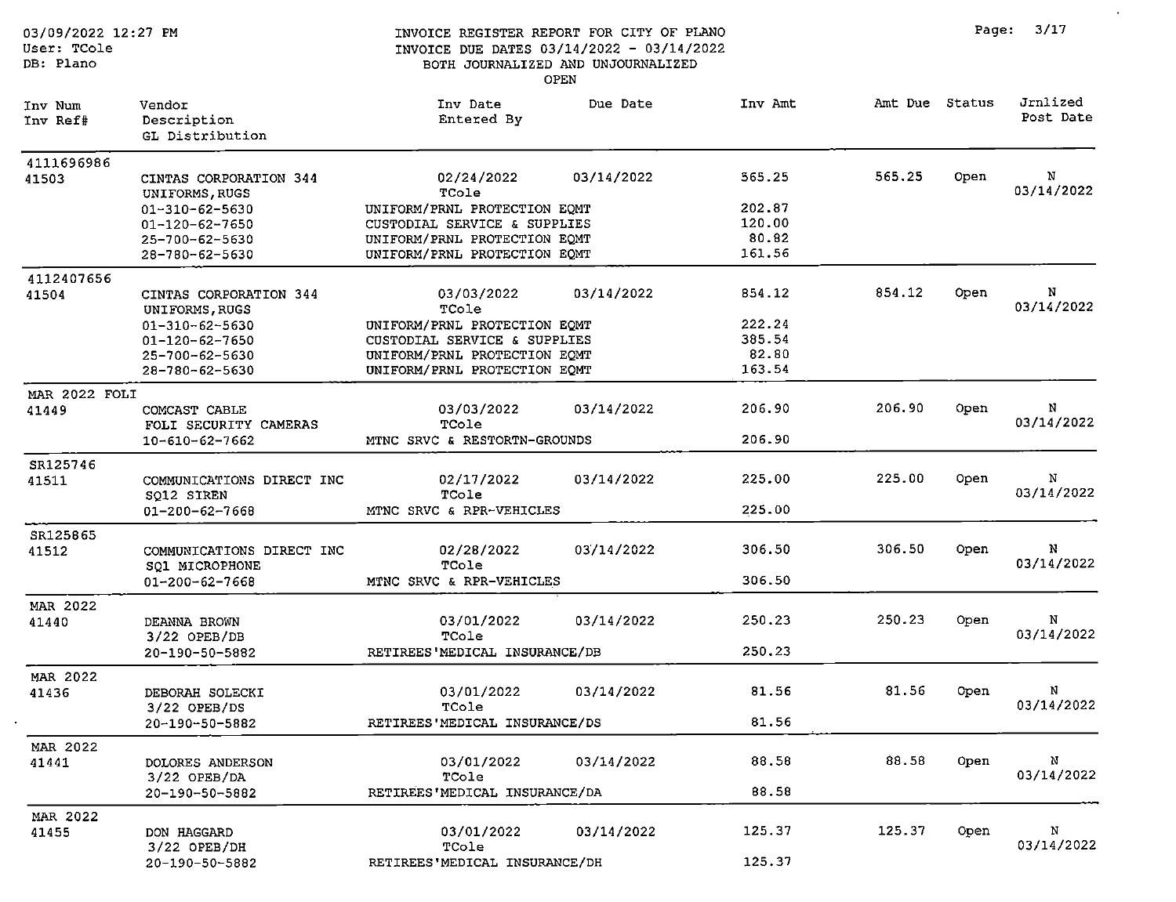| 03/09/2022 12:27 PM<br>User: TCole<br>DB: Plano |                                          | INVOICE REGISTER REPORT FOR CITY OF PLANO<br>INVOICE DUE DATES 03/14/2022 - 03/14/2022<br>BOTH JOURNALIZED AND UNJOURNALIZED<br><b>OPEN</b> |         |                | Page: | 3/17                  |
|-------------------------------------------------|------------------------------------------|---------------------------------------------------------------------------------------------------------------------------------------------|---------|----------------|-------|-----------------------|
| Inv Num<br>Inv Ref#                             | Vendor<br>Description<br>GL Distribution | Due Date<br>Inv Date<br>Entered By                                                                                                          | Inv Amt | Amt Due Status |       | Jrnlized<br>Post Date |
| 4111696986                                      |                                          |                                                                                                                                             |         |                |       |                       |
| 41503                                           | CINTAS CORPORATION 344<br>UNIFORMS, RUGS | 03/14/2022<br>02/24/2022<br>TCole                                                                                                           | 565.25  | 565.25         | Open  | N<br>03/14/2022       |
|                                                 | 01-310-62-5630                           | UNIFORM/PRNL PROTECTION EQMT                                                                                                                | 202.87  |                |       |                       |
|                                                 | 01-120-62-7650                           | CUSTODIAL SERVICE & SUPPLIES                                                                                                                | 120.00  |                |       |                       |
|                                                 | 25-700-62-5630                           | UNIFORM/PRNL PROTECTION EQMT                                                                                                                | 80.82   |                |       |                       |
|                                                 | 28-780-62-5630                           | UNIFORM/PRNL PROTECTION EQMT                                                                                                                | 161.56  |                |       |                       |
| 4112407656                                      |                                          |                                                                                                                                             |         |                |       |                       |
| 41504                                           | CINTAS CORPORATION 344<br>UNIFORMS, RUGS | 03/03/2022<br>03/14/2022<br>TCole                                                                                                           | 854.12  | 854.12         | Open  | N<br>03/14/2022       |
|                                                 | 01-310-62-5630                           | UNIFORM/PRNL PROTECTION EQMT                                                                                                                | 222.24  |                |       |                       |
|                                                 | $01 - 120 - 62 - 7650$                   | CUSTODIAL SERVICE & SUPPLIES                                                                                                                | 385.54  |                |       |                       |
|                                                 | 25-700-62-5630                           | UNIFORM/PRNL PROTECTION EQMT                                                                                                                | 82.80   |                |       |                       |
|                                                 | 28-780-62-5630                           | UNIFORM/PRNL PROTECTION EQMT                                                                                                                | 163.54  |                |       |                       |
| MAR 2022 FOLI                                   |                                          |                                                                                                                                             |         |                |       |                       |
| 41449                                           | COMCAST CABLE<br>FOLI SECURITY CAMERAS   | 03/14/2022<br>03/03/2022<br>TCole                                                                                                           | 206.90  | 206.90         | Open  | N<br>03/14/2022       |
|                                                 | $10 - 610 - 62 - 7662$                   | MTNC SRVC & RESTORTN-GROUNDS                                                                                                                | 206.90  |                |       |                       |
| SR125746                                        |                                          |                                                                                                                                             |         |                |       |                       |
| 41511                                           | COMMUNICATIONS DIRECT INC                | 02/17/2022<br>03/14/2022                                                                                                                    | 225.00  | 225.00         | Open  | N                     |
|                                                 | SQ12 SIREN                               | TCole                                                                                                                                       |         |                |       | 03/14/2022            |
|                                                 | 01-200-62-7668                           | MTNC SRVC & RPR-VEHICLES                                                                                                                    | 225.00  |                |       |                       |
| SR125865                                        |                                          |                                                                                                                                             |         |                |       |                       |
| 41512                                           | COMMUNICATIONS DIRECT INC                | 03/14/2022<br>02/28/2022                                                                                                                    | 306.50  | 306.50         | Open  | N                     |
|                                                 | SQ1 MICROPHONE                           | TCole                                                                                                                                       |         |                |       | 03/14/2022            |
|                                                 | $01 - 200 - 62 - 7668$                   | MTNC SRVC & RPR-VEHICLES                                                                                                                    | 306.50  |                |       |                       |
| MAR 2022                                        |                                          |                                                                                                                                             |         |                |       |                       |
| 41440                                           | DEANNA BROWN                             | 03/01/2022<br>03/14/2022                                                                                                                    | 250.23  | 250.23         | Open  | Ν                     |
|                                                 | 3/22 OPEB/DB                             | TCole                                                                                                                                       |         |                |       | 03/14/2022            |
|                                                 | 20-190-50-5882                           | RETIREES'MEDICAL INSURANCE/DB                                                                                                               | 250.23  |                |       |                       |
| MAR 2022                                        |                                          |                                                                                                                                             |         |                |       |                       |
| 41436                                           | DEBORAH SOLECKI                          | 03/01/2022<br>03/14/2022                                                                                                                    | 81.56   | 81.56          | Open  | N                     |
|                                                 | 3/22 OPEB/DS                             | TCole                                                                                                                                       |         |                |       | 03/14/2022            |
|                                                 | 20-190-50-5882                           | RETIREES'MEDICAL INSURANCE/DS                                                                                                               | 81.56   |                |       |                       |
| MAR 2022                                        |                                          |                                                                                                                                             |         |                |       |                       |
| 41441                                           | DOLORES ANDERSON                         | 03/14/2022<br>03/01/2022                                                                                                                    | 88.58   | 88.58          | Open  | N                     |
|                                                 | 3/22 OPEB/DA                             | TCole                                                                                                                                       |         |                |       | 03/14/2022            |
|                                                 | 20-190-50-5882                           | RETIREES'MEDICAL INSURANCE/DA                                                                                                               | 88.58   |                |       |                       |
| MAR 2022                                        |                                          |                                                                                                                                             |         |                |       |                       |
| 41455                                           | DON HAGGARD                              | 03/01/2022<br>03/14/2022                                                                                                                    | 125.37  | 125.37         | Open  | N                     |
|                                                 | $3/22$ OPEB/DH                           | TCole                                                                                                                                       |         |                |       | 03/14/2022            |
|                                                 | 20-190-50-5882                           | RETIREES'MEDICAL INSURANCE/DH                                                                                                               | 125.37  |                |       |                       |

 $\sim$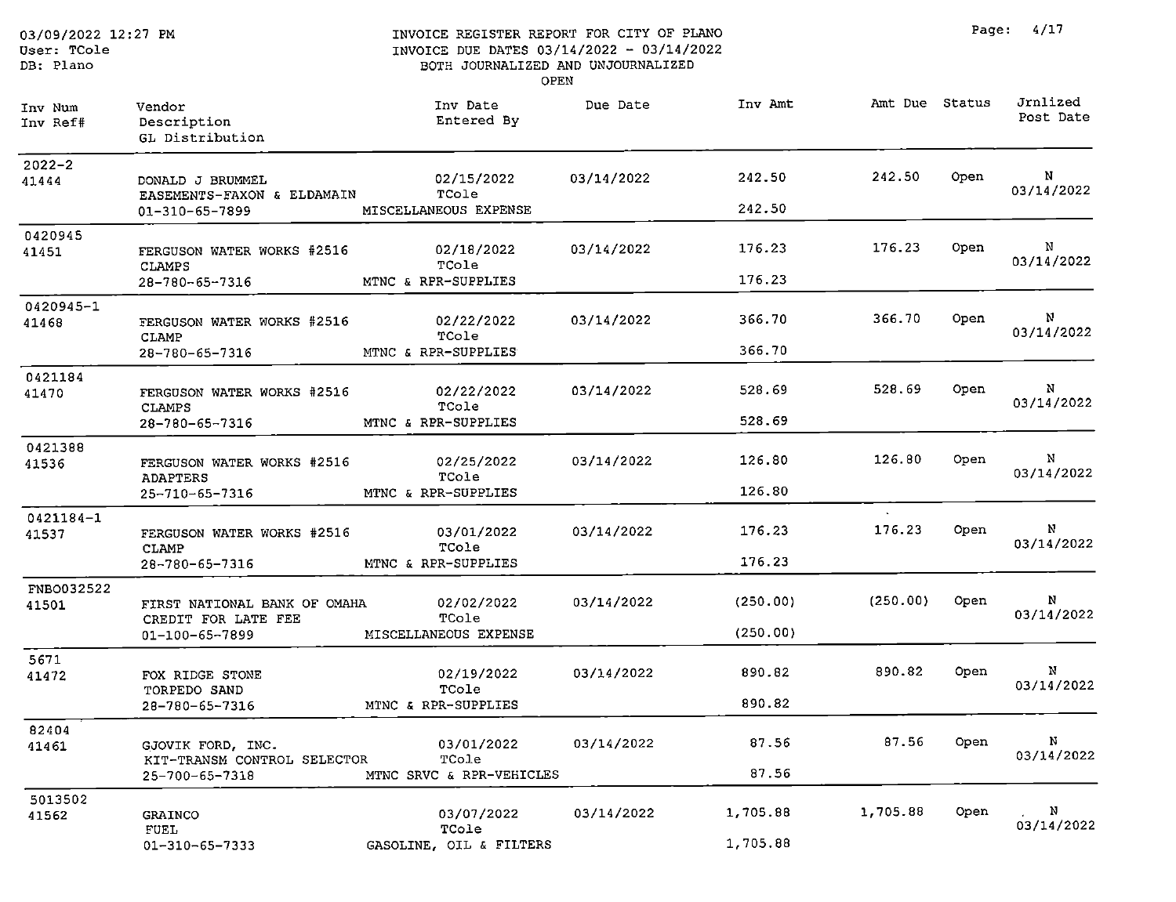DB: Plano

#### INVOICE REGISTER REPORT FOR CITY OF PLANO INVOICE DUE DATES 03/14/2022 - 03/14/2022 BOTH JOURNALIZED AND UNJOURNALIZED OPEN

| Inv Num<br>Inv Ref#    | Vendor<br>Description<br>GL Distribution            | Inv Date<br>Entered By   | Due Date   | Inv Amt  | Amt Due Status   |       | Jrnlized<br>Post Date |
|------------------------|-----------------------------------------------------|--------------------------|------------|----------|------------------|-------|-----------------------|
| $2022 - 2$<br>41444    | DONALD J BRUMMEL<br>EASEMENTS-FAXON & ELDAMAIN      | 02/15/2022<br>TCole      | 03/14/2022 | 242.50   | 242.50           | 0pen. | N<br>03/14/2022       |
|                        | 01-310-65-7899                                      | MISCELLANEOUS EXPENSE    |            | 242.50   |                  |       |                       |
| 0420945<br>41451       | FERGUSON WATER WORKS #2516<br><b>CLAMPS</b>         | 02/18/2022<br>TCole      | 03/14/2022 | 176.23   | 176.23           | Open  | N<br>03/14/2022       |
|                        | 28-780-65-7316                                      | MTNC & RPR-SUPPLIES      |            | 176.23   |                  |       |                       |
| 0420945-1<br>41468     | FERGUSON WATER WORKS #2516<br>CLAMP                 | 02/22/2022<br>TCole      | 03/14/2022 | 366.70   | 366.70           | Open  | N<br>03/14/2022       |
|                        | 28-780-65-7316                                      | MTNC & RPR-SUPPLIES      |            | 366.70   |                  |       |                       |
| 0421184<br>41470       | FERGUSON WATER WORKS #2516<br><b>CLAMPS</b>         | 02/22/2022<br>TCole      | 03/14/2022 | 528.69   | 528.69           | Open  | N<br>03/14/2022       |
|                        | 28-780-65-7316                                      | MTNC & RPR-SUPPLIES      |            | 528.69   |                  |       |                       |
| 0421388<br>41536       | FERGUSON WATER WORKS #2516                          | 02/25/2022<br>TCole      | 03/14/2022 | 126.80   | 126.80           | Open  | N<br>03/14/2022       |
|                        | ADAPTERS<br>25-710-65-7316                          | MTNC & RPR-SUPPLIES      |            | 126.80   |                  |       |                       |
| $0421184 - 1$<br>41537 | FERGUSON WATER WORKS #2516<br>CLAMP                 | 03/01/2022<br>TCole      | 03/14/2022 | 176.23   | $\sim$<br>176.23 | Open  | N<br>03/14/2022       |
|                        | 28-780-65-7316                                      | MTNC & RPR-SUPPLIES      |            | 176.23   |                  |       |                       |
| FNB0032522<br>41501    | FIRST NATIONAL BANK OF OMAHA<br>CREDIT FOR LATE FEE | 02/02/2022<br>TCole      | 03/14/2022 | (250.00) | (250.00)         | Open  | N<br>03/14/2022       |
|                        | 01-100-65-7899                                      | MISCELLANEOUS EXPENSE    |            | (250.00) |                  |       |                       |
| 5671<br>41472          | FOX RIDGE STONE<br>TORPEDO SAND                     | 02/19/2022<br>TCole      | 03/14/2022 | 890.82   | 890.82           | Open  | N<br>03/14/2022       |
|                        | 28-780-65-7316                                      | MTNC & RPR-SUPPLIES      |            | 890.82   |                  |       |                       |
| 82404<br>41461         | GJOVIK FORD, INC.                                   | 03/01/2022<br>TCole      | 03/14/2022 | 87.56    | 87.56            | Open  | N<br>03/14/2022       |
|                        | KIT-TRANSM CONTROL SELECTOR<br>25-700-65-7318       | MTNC SRVC & RPR-VEHICLES |            | 87.56    |                  |       |                       |
| 5013502                |                                                     |                          |            |          |                  |       |                       |
| 41562                  | <b>GRAINCO</b><br>FUEL                              | 03/07/2022<br>TCole      | 03/14/2022 | 1,705.88 | 1,705.88         | Open  | N<br>03/14/2022       |
|                        | 01-310-65-7333                                      | GASOLINE, OIL & FILTERS  |            | 1,705.88 |                  |       |                       |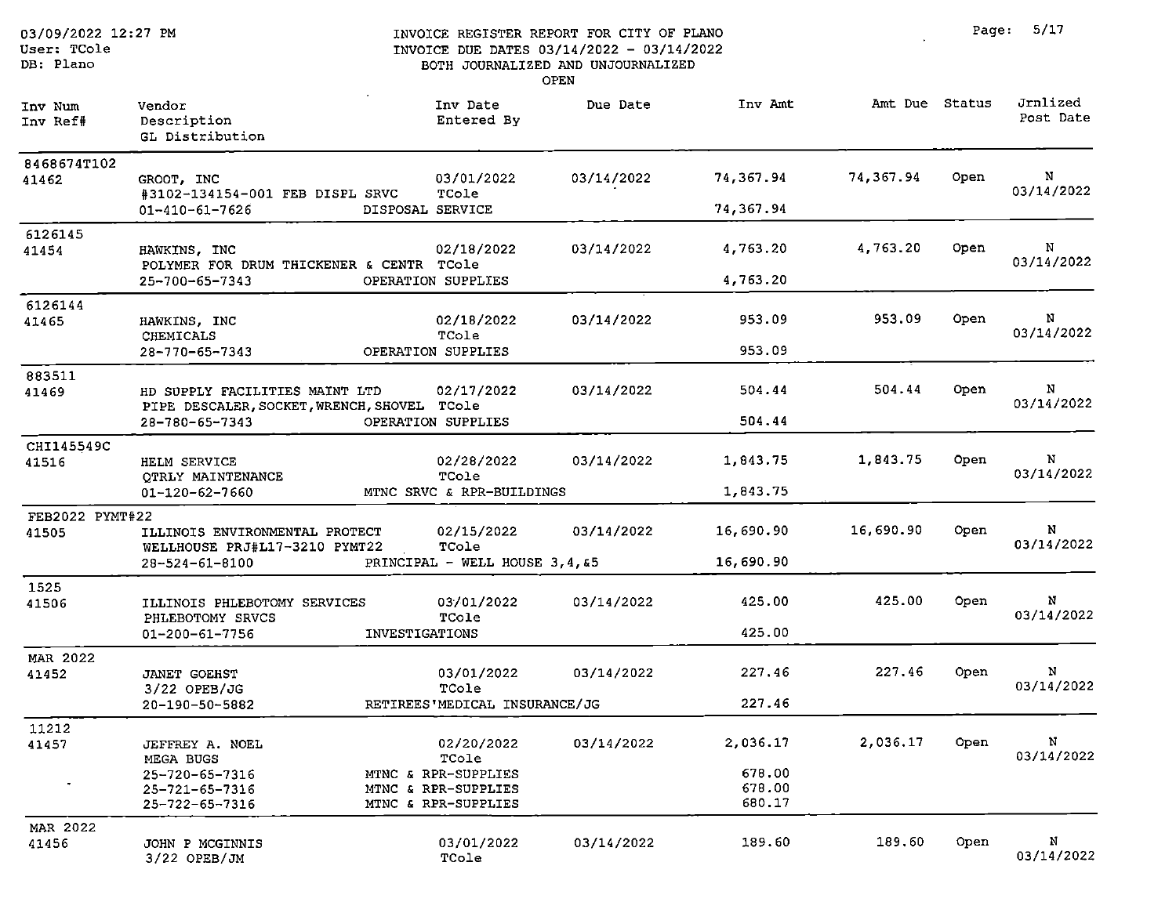| 03/09/2022 12:27 PM<br>User: TCole<br>DB: Plano |                                                                                                 |                       |                                                                                          | INVOICE REGISTER REPORT FOR CITY OF PLANO<br>INVOICE DUE DATES 03/14/2022 - 03/14/2022<br>BOTH JOURNALIZED AND UNJOURNALIZED<br>OPEN |                                        |                | Page: | 5/17                  |
|-------------------------------------------------|-------------------------------------------------------------------------------------------------|-----------------------|------------------------------------------------------------------------------------------|--------------------------------------------------------------------------------------------------------------------------------------|----------------------------------------|----------------|-------|-----------------------|
| Inv Num<br>Inv Ref#                             | Vendor<br>Description<br>GL Distribution                                                        |                       | Inv Date<br>Entered By                                                                   | Due Date                                                                                                                             | Inv Amt                                | Amt Due Status |       | Jrnlized<br>Post Date |
| 8468674T102<br>41462                            | GROOT, INC<br>#3102-134154-001 FEB DISPL SRVC<br>$01 - 410 - 61 - 7626$                         | DISPOSAL SERVICE      | 03/01/2022<br>TCole                                                                      | 03/14/2022                                                                                                                           | 74,367.94<br>74,367.94                 | 74,367.94      | Open  | N<br>03/14/2022       |
| 6126145<br>41454                                | HAWKINS, INC<br>POLYMER FOR DRUM THICKENER & CENTR TCole<br>25-700-65-7343                      |                       | 02/18/2022<br>OPERATION SUPPLIES                                                         | 03/14/2022                                                                                                                           | 4,763.20<br>4,763.20                   | 4,763.20       | Open  | N<br>03/14/2022       |
| 6126144<br>41465                                | HAWKINS, INC<br>CHEMICALS<br>28-770-65-7343                                                     |                       | 02/18/2022<br>TCole<br>OPERATION SUPPLIES                                                | 03/14/2022                                                                                                                           | 953.09<br>953.09                       | 953.09         | Open  | N<br>03/14/2022       |
| 883511<br>41469                                 | HD SUPPLY FACILITIES MAINT LTD<br>PIPE DESCALER, SOCKET, WRENCH, SHOVEL TCole<br>28-780-65-7343 |                       | 02/17/2022<br>OPERATION SUPPLIES                                                         | 03/14/2022                                                                                                                           | 504.44<br>504.44                       | 504.44         | Open  | N<br>03/14/2022       |
| CHI145549C<br>41516                             | HELM SERVICE<br>OTRLY MAINTENANCE<br>01-120-62-7660                                             |                       | 02/28/2022<br>TCole<br>MTNC SRVC & RPR-BUILDINGS                                         | 03/14/2022                                                                                                                           | 1,843.75<br>1,843.75                   | 1,843.75       | Open  | N<br>03/14/2022       |
| FEB2022 PYMT#22<br>41505                        | ILLINOIS ENVIRONMENTAL PROTECT<br>WELLHOUSE PRJ#L17-3210 PYMT22<br>$28 - 524 - 61 - 8100$       |                       | 02/15/2022<br>TCole<br>PRINCIPAL - WELL HOUSE 3, 4, &5                                   | 03/14/2022                                                                                                                           | 16,690.90<br>16,690.90                 | 16,690.90      | Open  | N<br>03/14/2022       |
| 1525<br>41506                                   | ILLINOIS PHLEBOTOMY SERVICES<br>PHLEBOTOMY SRVCS<br>01-200-61-7756                              | <b>INVESTIGATIONS</b> | 03/01/2022<br>TCole                                                                      | 03/14/2022                                                                                                                           | 425.00<br>425.00                       | 425.00         | Open  | N<br>03/14/2022       |
| <b>MAR 2022</b><br>41452                        | <b>JANET GOEHST</b><br>3/22 OPEB/JG<br>20-190-50-5882                                           |                       | 03/01/2022<br>TCole<br>RETIREES'MEDICAL INSURANCE/JG                                     | 03/14/2022                                                                                                                           | 227,46<br>227.46                       | 227.46         | Open  | N<br>03/14/2022       |
| 11212<br>41457                                  | JEFFREY A. NOEL<br>MEGA BUGS<br>25-720-65-7316<br>25-721-65-7316<br>25-722-65-7316              |                       | 02/20/2022<br>TCole<br>MTNC & RPR-SUPPLIES<br>MTNC & RPR-SUPPLIES<br>MTNC & RPR-SUPPLIES | 03/14/2022                                                                                                                           | 2,036.17<br>678.00<br>678.00<br>680.17 | 2,036.17       | Open  | N<br>03/14/2022       |
| MAR 2022<br>41456                               | JOHN P MCGINNIS<br>3/22 OPEB/JM                                                                 |                       | 03/01/2022<br>TCole                                                                      | 03/14/2022                                                                                                                           | 189.60                                 | 189.60         | Open  | N<br>03/14/2022       |

Page: 5/17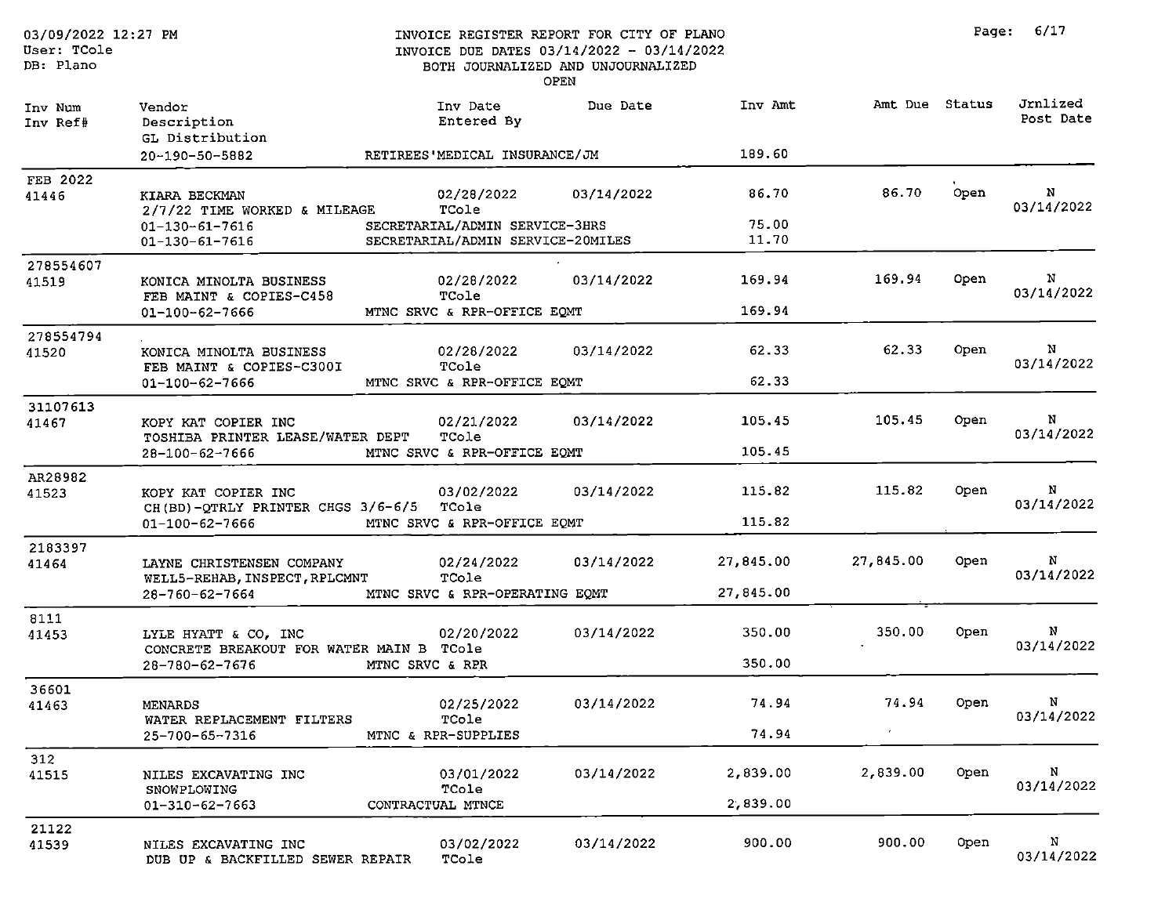| 03/09/2022 12:27 PM<br>User: TCole<br>DB: Plano |                                                                  |                 |                                                                     | INVOICE REGISTER REPORT FOR CITY OF PLANO<br>INVOICE DUE DATES 03/14/2022 - 03/14/2022<br>BOTH JOURNALIZED AND UNJOURNALIZED<br><b>OPEN</b> |                |                |      | Page: 6/17            |
|-------------------------------------------------|------------------------------------------------------------------|-----------------|---------------------------------------------------------------------|---------------------------------------------------------------------------------------------------------------------------------------------|----------------|----------------|------|-----------------------|
| Inv Num<br>Inv Ref#                             | Vendor<br>Description<br>GL Distribution                         |                 | Inv Date<br>Entered By                                              | Due Date                                                                                                                                    | Inv Amt        | Amt Due Status |      | Jrnlized<br>Post Date |
|                                                 | 20-190-50-5882                                                   |                 | RETIREES'MEDICAL INSURANCE/JM                                       |                                                                                                                                             | 189.60         |                |      |                       |
| <b>FEB 2022</b><br>41446                        | KIARA BECKMAN<br>2/7/22 TIME WORKED & MILEAGE                    |                 | 02/28/2022<br>TCole                                                 | 03/14/2022                                                                                                                                  | 86.70          | 86.70          | Open | N<br>03/14/2022       |
|                                                 | $01 - 130 - 61 - 7616$<br>01-130-61-7616                         |                 | SECRETARIAL/ADMIN SERVICE-3HRS<br>SECRETARIAL/ADMIN SERVICE-20MILES |                                                                                                                                             | 75.00<br>11.70 |                |      |                       |
| 278554607<br>41519                              | KONICA MINOLTA BUSINESS<br>FEB MAINT & COPIES-C458               |                 | 02/28/2022<br>TCole                                                 | 03/14/2022                                                                                                                                  | 169.94         | 169.94         | Open | N<br>03/14/2022       |
|                                                 | 01-100-62-7666                                                   |                 | MTNC SRVC & RPR-OFFICE EOMT                                         |                                                                                                                                             | 169.94         |                |      |                       |
| 278554794<br>41520                              | KONICA MINOLTA BUSINESS<br>FEB MAINT & COPIES-C300I              |                 | 02/28/2022<br>TCole                                                 | 03/14/2022                                                                                                                                  | 62.33          | 62.33          | Open | N<br>03/14/2022       |
|                                                 | 01-100-62-7666                                                   |                 | MTNC SRVC & RPR-OFFICE EQMT                                         |                                                                                                                                             | 62.33          |                |      |                       |
| 31107613<br>41467                               | KOPY KAT COPIER INC<br>TOSHIBA PRINTER LEASE/WATER DEPT          |                 | 02/21/2022<br>TCole                                                 | 03/14/2022                                                                                                                                  | 105.45         | 105.45         | Open | N<br>03/14/2022       |
|                                                 | $28 - 100 - 62 - 7666$                                           |                 | MTNC SRVC & RPR-OFFICE EOMT                                         |                                                                                                                                             | 105.45         |                |      |                       |
| AR28982<br>41523                                | KOPY KAT COPIER INC<br>CH(BD)-QTRLY PRINTER CHGS 3/6-6/5         |                 | 03/02/2022<br>TCole                                                 | 03/14/2022                                                                                                                                  | 115.82         | 115.82         | Open | N<br>03/14/2022       |
|                                                 | 01-100-62-7666                                                   |                 | MTNC SRVC & RPR-OFFICE EQMT                                         |                                                                                                                                             | 115.82         |                |      |                       |
| 2183397<br>41464                                | LAYNE CHRISTENSEN COMPANY<br>WELL5-REHAB, INSPECT, RPLCMNT       |                 | 02/24/2022<br>TCole                                                 | 03/14/2022                                                                                                                                  | 27,845.00      | 27,845.00      | Open | N<br>03/14/2022       |
|                                                 | 28-760-62-7664                                                   |                 | MTNC SRVC & RPR-OPERATING EQMT                                      |                                                                                                                                             | 27,845.00      |                |      |                       |
| 8111<br>41453                                   | LYLE HYATT & CO, INC<br>CONCRETE BREAKOUT FOR WATER MAIN B TCole |                 | 02/20/2022                                                          | 03/14/2022                                                                                                                                  | 350.00         | 350.00         | Open | N<br>03/14/2022       |
|                                                 | 28-780-62-7676                                                   | MTNC SRVC & RPR |                                                                     |                                                                                                                                             | 350.00         |                |      |                       |
| 36601<br>41463                                  | MENARDS<br>WATER REPLACEMENT FILTERS                             |                 | 02/25/2022<br>TCole                                                 | 03/14/2022                                                                                                                                  | 74.94          | 74.94          | Open | N<br>03/14/2022       |
|                                                 | 25-700-65-7316                                                   |                 | MTNC & RPR-SUPPLIES                                                 |                                                                                                                                             | 74.94          |                |      |                       |
| 312<br>41515                                    | NILES EXCAVATING INC                                             |                 | 03/01/2022                                                          | 03/14/2022                                                                                                                                  | 2,839.00       | 2,839.00       | Open | N                     |
|                                                 | SNOWPLOWING<br>$01 - 310 - 62 - 7663$                            |                 | TCole<br>CONTRACTUAL MTNCE                                          |                                                                                                                                             | 2,839.00       |                |      | 03/14/2022            |
| 21122<br>41539                                  | NILES EXCAVATING INC<br>DUB UP & BACKFILLED SEWER REPAIR         |                 | 03/02/2022<br>TCole                                                 | 03/14/2022                                                                                                                                  | 900.00         | 900.00         | Open | N<br>03/14/2022       |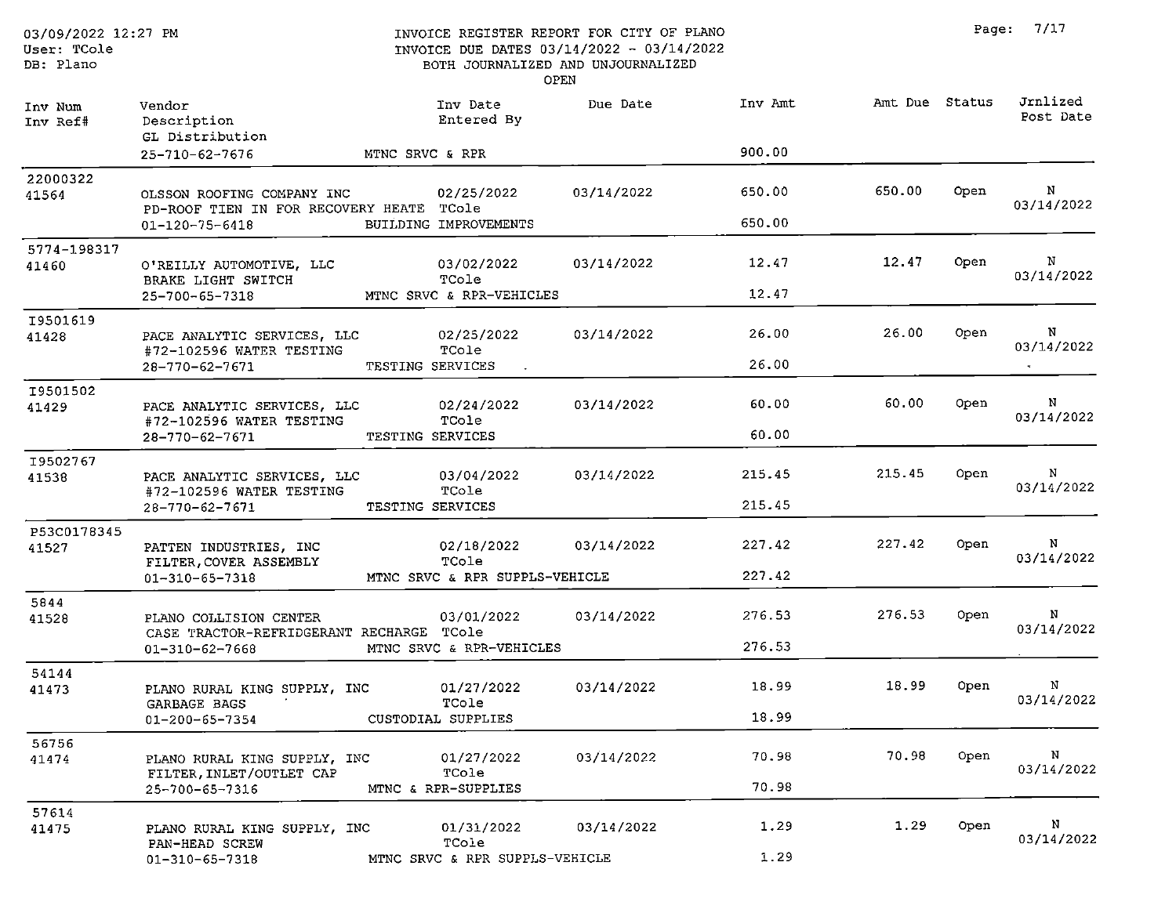| 03/09/2022 12:27 PM<br>User: TCole<br>DB: Plano |                                                                        | INVOICE REGISTER REPORT FOR CITY OF PLANO<br>INVOICE DUE DATES 03/14/2022 - 03/14/2022<br>BOTH JOURNALIZED AND UNJOURNALIZED | OPEN       |         |                | Page: | 7/17                  |
|-------------------------------------------------|------------------------------------------------------------------------|------------------------------------------------------------------------------------------------------------------------------|------------|---------|----------------|-------|-----------------------|
| Inv Num<br>Inv Ref#                             | Vendor<br>Description<br>GL Distribution                               | Inv Date<br>Entered By                                                                                                       | Due Date   | Inv Amt | Amt Due Status |       | Jrnlized<br>Post Date |
|                                                 | 25-710-62-7676                                                         | MTNC SRVC & RPR                                                                                                              |            | 900.00  |                |       |                       |
| 22000322<br>41564                               | OLSSON ROOFING COMPANY INC<br>PD-ROOF TIEN IN FOR RECOVERY HEATE TCole | 02/25/2022                                                                                                                   | 03/14/2022 | 650.00  | 650.00         | Open  | N<br>03/14/2022       |
|                                                 | $01 - 120 - 75 - 6418$                                                 | BUILDING IMPROVEMENTS                                                                                                        |            | 650.00  |                |       |                       |
| 5774-198317<br>41460                            | O'REILLY AUTOMOTIVE, LLC<br>BRAKE LIGHT SWITCH                         | 03/02/2022<br>TCole                                                                                                          | 03/14/2022 | 12.47   | 12.47          | Open  | N<br>03/14/2022       |
|                                                 | 25-700-65-7318                                                         | MTNC SRVC & RPR-VEHICLES                                                                                                     |            | 12.47   |                |       |                       |
| I9501619<br>41428                               | PACE ANALYTIC SERVICES, LLC                                            | 02/25/2022<br>TCole                                                                                                          | 03/14/2022 | 26.00   | 26.00          | Open  | N<br>03/14/2022       |
|                                                 | #72-102596 WATER TESTING<br>28-770-62-7671                             | TESTING SERVICES                                                                                                             |            | 26.00   |                |       |                       |
| I9501502<br>41429                               | PACE ANALYTIC SERVICES, LLC<br>#72-102596 WATER TESTING                | 02/24/2022<br>TCole                                                                                                          | 03/14/2022 | 60.00   | 60.00          | Open  | N<br>03/14/2022       |
|                                                 | 28-770-62-7671                                                         | TESTING SERVICES                                                                                                             |            | 60.00   |                |       |                       |
| 19502767<br>41538                               | PACE ANALYTIC SERVICES, LLC<br>#72-102596 WATER TESTING                | 03/04/2022<br>TCole                                                                                                          | 03/14/2022 | 215.45  | 215.45         | Open  | N<br>03/14/2022       |
|                                                 | 28-770-62-7671                                                         | TESTING SERVICES                                                                                                             |            | 215.45  |                |       |                       |
| P53C0178345<br>41527                            | PATTEN INDUSTRIES, INC<br>FILTER, COVER ASSEMBLY                       | 02/18/2022<br>TCole                                                                                                          | 03/14/2022 | 227.42  | 227.42         | Open  | N<br>03/14/2022       |
|                                                 | $01 - 310 - 65 - 7318$                                                 | MTNC SRVC & RPR SUPPLS-VEHICLE                                                                                               |            | 227.42  |                |       |                       |
| 5844<br>41528                                   | PLANO COLLISION CENTER<br>CASE TRACTOR-REFRIDGERANT RECHARGE TCole     | 03/01/2022                                                                                                                   | 03/14/2022 | 276.53  | 276.53         | Open  | N<br>03/14/2022       |
|                                                 | 01-310-62-7668                                                         | MTNC SRVC & RPR-VEHICLES                                                                                                     |            | 276.53  |                |       |                       |
| 54144<br>41473                                  | PLANO RURAL KING SUPPLY, INC<br>GARBAGE BAGS                           | 01/27/2022<br>TCole                                                                                                          | 03/14/2022 | 18.99   | 18.99          | Open  | N<br>03/14/2022       |
|                                                 | $01 - 200 - 65 - 7354$                                                 | CUSTODIAL SUPPLIES                                                                                                           |            | 18.99   |                |       |                       |
| 56756<br>41474                                  | PLANO RURAL KING SUPPLY, INC<br>FILTER INLET/OUTLET CAP                | 01/27/2022<br>TCole                                                                                                          | 03/14/2022 | 70.98   | 70.98          | Open  | N<br>03/14/2022       |
|                                                 | 25-700-65-7316                                                         | MTNC & RPR-SUPPLIES                                                                                                          |            | 70.98   |                |       |                       |
| 57614<br>41475                                  | PLANO RURAL KING SUPPLY, INC                                           | 01/31/2022                                                                                                                   | 03/14/2022 | 1.29    | 1.29           | Open  | N<br>03/14/2022       |
|                                                 | PAN-HEAD SCREW<br>$01 - 310 - 65 - 7318$                               | TCole<br>MTNC SRVC & RPR SUPPLS-VEHICLE                                                                                      |            | 1.29    |                |       |                       |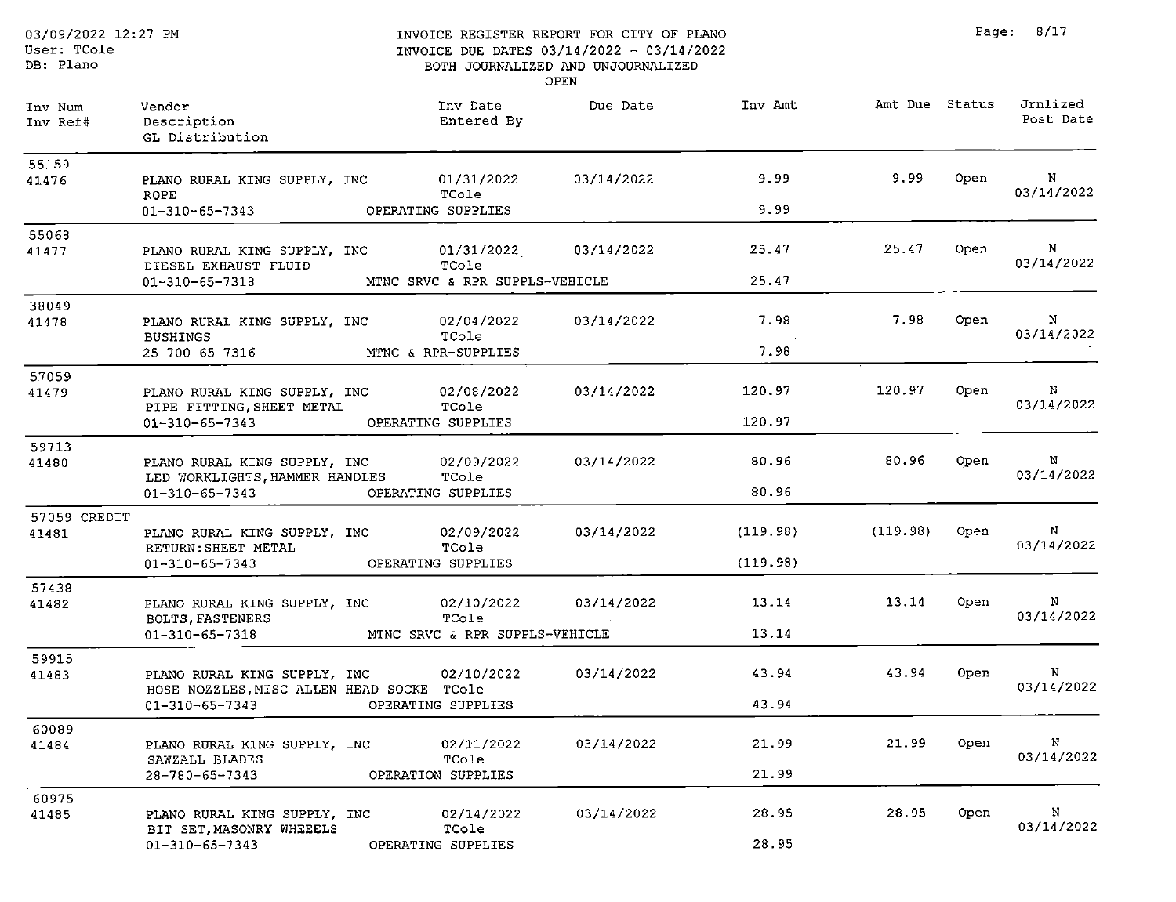$01 - 310 - 65 - 7343$ 

#### INVOICE REGISTER REPORT FOR CITY OF PLANO INVOICE DUE DATES 03/14/2022 - 03/14/2022 BOTH JOURNALIZED AND UNJOURNALIZED OPEN

Page: 8/17

| Inv Num<br>Inv Ref# | Vendor<br>Description<br>GL Distribution                            | Inv Date<br>Entered By         | Due Date   | Inv Amt  | Amt Due Status |      | Jrnlized<br>Post Date      |
|---------------------|---------------------------------------------------------------------|--------------------------------|------------|----------|----------------|------|----------------------------|
| 55159               |                                                                     |                                |            |          |                |      |                            |
| 41476               | PLANO RURAL KING SUPPLY, INC<br><b>ROPE</b>                         | 01/31/2022<br>TCole            | 03/14/2022 | 9.99     | 9.99           | Open | N<br>03/14/2022            |
|                     | $01 - 310 - 65 - 7343$                                              | OPERATING SUPPLIES             |            | 9.99     |                |      |                            |
| 55068               |                                                                     |                                |            |          |                |      |                            |
| 41477               | PLANO RURAL KING SUPPLY, INC<br>DIESEL EXHAUST FLUID                | 01/31/2022<br>TCole            | 03/14/2022 | 25.47    | 25.47          | Open | N<br>03/14/2022            |
|                     | $01 - 310 - 65 - 7318$                                              | MTNC SRVC & RPR SUPPLS-VEHICLE |            | 25.47    |                |      |                            |
| 38049               |                                                                     |                                |            |          |                |      |                            |
| 41478               | PLANO RURAL KING SUPPLY, INC<br><b>BUSHINGS</b>                     | 02/04/2022<br>TCole            | 03/14/2022 | 7.98     | 7.98           | Open | $\, {\bf N}$<br>03/14/2022 |
|                     | 25-700-65-7316                                                      | MTNC & RPR-SUPPLIES            |            | 7.98     |                |      |                            |
| 57059               |                                                                     |                                |            |          |                |      |                            |
| 41479               | PLANO RURAL KING SUPPLY, INC<br>PIPE FITTING, SHEET METAL           | 02/08/2022<br>TCole            | 03/14/2022 | 120.97   | 120.97         | Open | N<br>03/14/2022            |
|                     | $01 - 310 - 65 - 7343$                                              | OPERATING SUPPLIES             |            | 120.97   |                |      |                            |
| 59713               |                                                                     |                                |            |          |                |      |                            |
| 41480               | PLANO RURAL KING SUPPLY, INC<br>LED WORKLIGHTS, HAMMER HANDLES      | 02/09/2022<br>TCole            | 03/14/2022 | 80.96    | 80.96          | Open | $\mathbf N$<br>03/14/2022  |
|                     | 01-310-65-7343                                                      | OPERATING SUPPLIES             |            | 80.96    |                |      |                            |
| 57059 CREDIT        |                                                                     |                                |            |          |                |      |                            |
| 41481               | PLANO RURAL KING SUPPLY, INC                                        | 02/09/2022                     | 03/14/2022 | (119.98) | (119.98)       | Open | N<br>03/14/2022            |
|                     | RETURN: SHEET METAL<br>$01 - 310 - 65 - 7343$                       | TCole<br>OPERATING SUPPLIES    |            | (119.98) |                |      |                            |
| 57438               |                                                                     |                                |            |          |                |      |                            |
| 41482               | PLANO RURAL KING SUPPLY, INC<br>BOLTS, FASTENERS                    | 02/10/2022<br>TCole            | 03/14/2022 | 13.14    | 13.14          | Open | Ν<br>03/14/2022            |
|                     | 01-310-65-7318                                                      | MTNC SRVC & RPR SUPPLS-VEHICLE |            | 13.14    |                |      |                            |
| 59915               |                                                                     |                                |            |          |                |      |                            |
| 41483               | PLANO RURAL KING SUPPLY, INC                                        | 02/10/2022                     | 03/14/2022 | 43.94    | 43.94          | Open | N<br>03/14/2022            |
|                     | HOSE NOZZLES, MISC ALLEN HEAD SOCKE TCole<br>$01 - 310 - 65 - 7343$ | OPERATING SUPPLIES             |            | 43.94    |                |      |                            |
| 60089               |                                                                     |                                |            |          |                |      |                            |
| 41484               | PLANO RURAL KING SUPPLY, INC                                        | 02/11/2022                     | 03/14/2022 | 21.99    | 21.99          | Open | N                          |
|                     | SAWZALL BLADES<br>28-780-65-7343                                    | TCole<br>OPERATION SUPPLIES    |            | 21.99    |                |      | 03/14/2022                 |
| 60975               |                                                                     |                                |            |          |                |      |                            |
| 41485               | PLANO RURAL KING SUPPLY, INC<br>BIT SET, MASONRY WHEEELS            | 02/14/2022<br>TCole            | 03/14/2022 | 28.95    | 28.95          | Open | N<br>03/14/2022            |

OPERATING SUPPLIES

28.95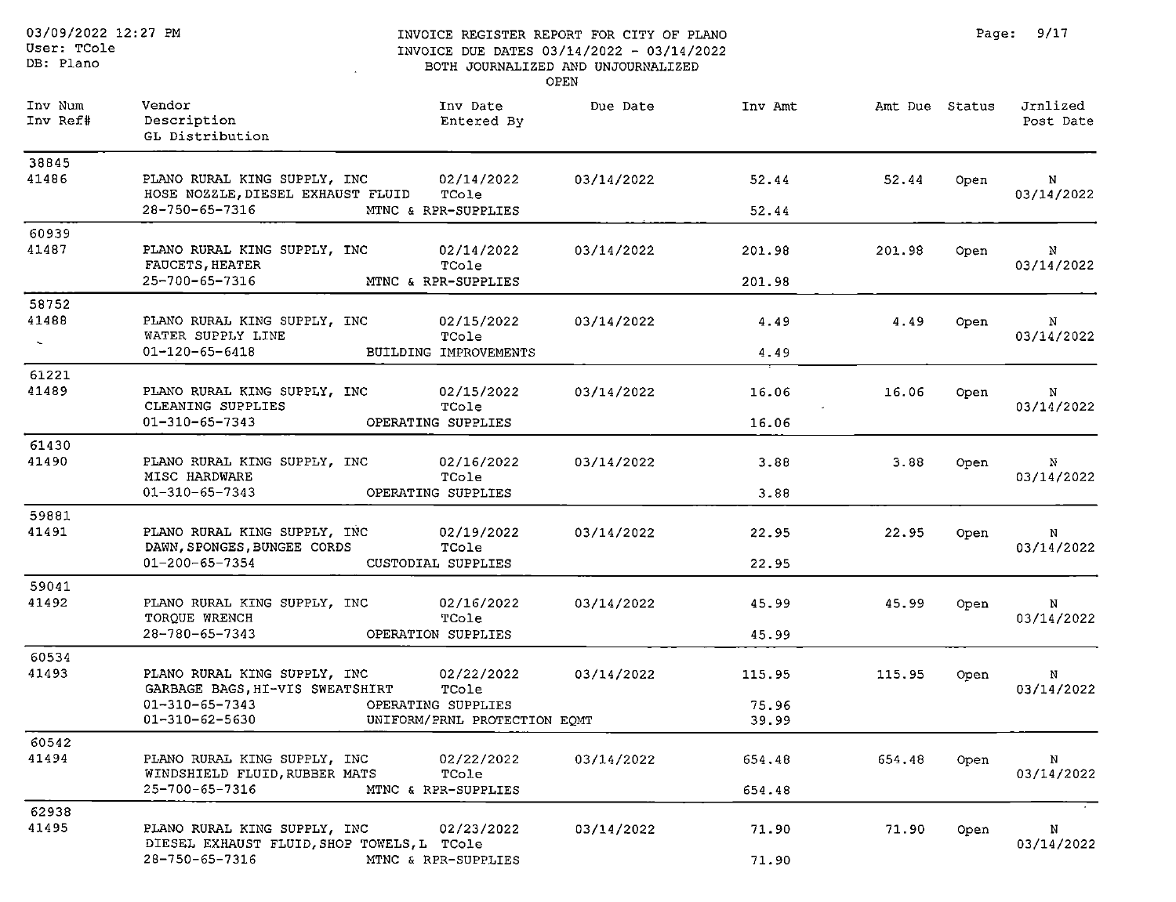DB: Plano

#### INVOICE REGISTER REPORT FOR CITY OF PLANO INVOICE DUE DATES 03/14/2022 - 03/14/2022 BOTH JOURNALIZED AND UNJOURNALIZED

Page: 9/17

OPEN

| Inv Num<br>Inv Ref# | Vendor<br>Description<br>GL Distribution                                                               | Inv Date<br>Entered By         | Due Date   | Inv Amt          | Amt Due Status |      | Jrnlized<br>Post Date      |
|---------------------|--------------------------------------------------------------------------------------------------------|--------------------------------|------------|------------------|----------------|------|----------------------------|
| 38845<br>41486      | PLANO RURAL KING SUPPLY, INC<br>HOSE NOZZLE, DIESEL EXHAUST FLUID TCole                                | 02/14/2022                     | 03/14/2022 | 52.44            | 52.44          | Open | N<br>03/14/2022            |
|                     | 28-750-65-7316<br>MTNC & RPR-SUPPLIES                                                                  |                                |            | 52.44            |                |      |                            |
| 60939<br>41487      | PLANO RURAL KING SUPPLY, INC                                                                           | 02/14/2022                     | 03/14/2022 | 201.98           | 201.98         | Open | N                          |
|                     | FAUCETS, HEATER<br>25-700-65-7316<br>MTNC & RPR-SUPPLIES                                               | TCole                          |            | 201.98           |                |      | 03/14/2022                 |
| 58752<br>41488      | PLANO RURAL KING SUPPLY, INC                                                                           | 02/15/2022                     | 03/14/2022 | 4.49             | 4.49           | Open | N                          |
| $\sim$              | WATER SUPPLY LINE<br>$01 - 120 - 65 - 6418$                                                            | TCole<br>BUILDING IMPROVEMENTS |            | 4.49             |                |      | 03/14/2022                 |
| 61221<br>41489      | PLANO RURAL KING SUPPLY, INC                                                                           | 02/15/2022                     | 03/14/2022 | 16.06            | 16.06          | Open | N                          |
|                     | CLEANING SUPPLIES<br>$01 - 310 - 65 - 7343$<br>OPERATING SUPPLIES                                      | TCole                          |            | 16.06            |                |      | 03/14/2022                 |
| 61430<br>41490      | PLANO RURAL KING SUPPLY, INC                                                                           | 02/16/2022                     | 03/14/2022 | 3.88             | 3.88           | Open | $\mathbb{N}$               |
|                     | MISC HARDWARE<br>$01 - 310 - 65 - 7343$<br>OPERATING SUPPLIES                                          | TCole                          |            | 3.88             |                |      | 03/14/2022                 |
| 59881               |                                                                                                        |                                |            |                  |                |      |                            |
| 41491               | PLANO RURAL KING SUPPLY, INC<br>DAWN, SPONGES, BUNGEE CORDS                                            | 02/19/2022<br>TCole            | 03/14/2022 | 22.95            | 22.95          | Open | N<br>03/14/2022            |
|                     | 01-200-65-7354<br>CUSTODIAL SUPPLIES                                                                   |                                |            | 22.95            |                |      |                            |
| 59041<br>41492      | PLANO RURAL KING SUPPLY, INC<br>TORQUE WRENCH                                                          | 02/16/2022<br>TCole            | 03/14/2022 | 45.99            | 45.99          | Open | N<br>03/14/2022            |
|                     | 28-780-65-7343<br>OPERATION SUPPLIES                                                                   |                                |            | 45.99            |                |      |                            |
| 60534<br>41493      | PLANO RURAL KING SUPPLY, INC 02/22/2022<br>GARBAGE BAGS, HI-VIS SWEATSHIRT                             | TCole                          | 03/14/2022 | 115.95           | 115.95         | Open | $\mathbf{N}$<br>03/14/2022 |
|                     | 01-310-65-7343<br>OPERATING SUPPLIES<br>01-310-62-5630                                                 | UNIFORM/PRNL PROTECTION EQMT   |            | 75.96<br>39.99   |                |      |                            |
| 60542               |                                                                                                        |                                |            |                  |                |      |                            |
| 41494               | PLANO RURAL KING SUPPLY, INC<br>WINDSHIELD FLUID, RUBBER MATS<br>25-700-65-7316<br>MTNC & RPR-SUPPLIES | 02/22/2022<br>TCole            | 03/14/2022 | 654.48<br>654.48 | 654.48         | Open | N<br>03/14/2022            |
| 62938               |                                                                                                        |                                |            |                  |                |      |                            |
| 41495               | PLANO RURAL KING SUPPLY, INC<br>DIESEL EXHAUST FLUID, SHOP TOWELS, L TCole                             | 02/23/2022                     | 03/14/2022 | 71.90            | 71.90          | Open | N<br>03/14/2022            |
|                     | 28-750-65-7316<br>MTNC & RPR-SUPPLIES                                                                  |                                |            | 71.90            |                |      |                            |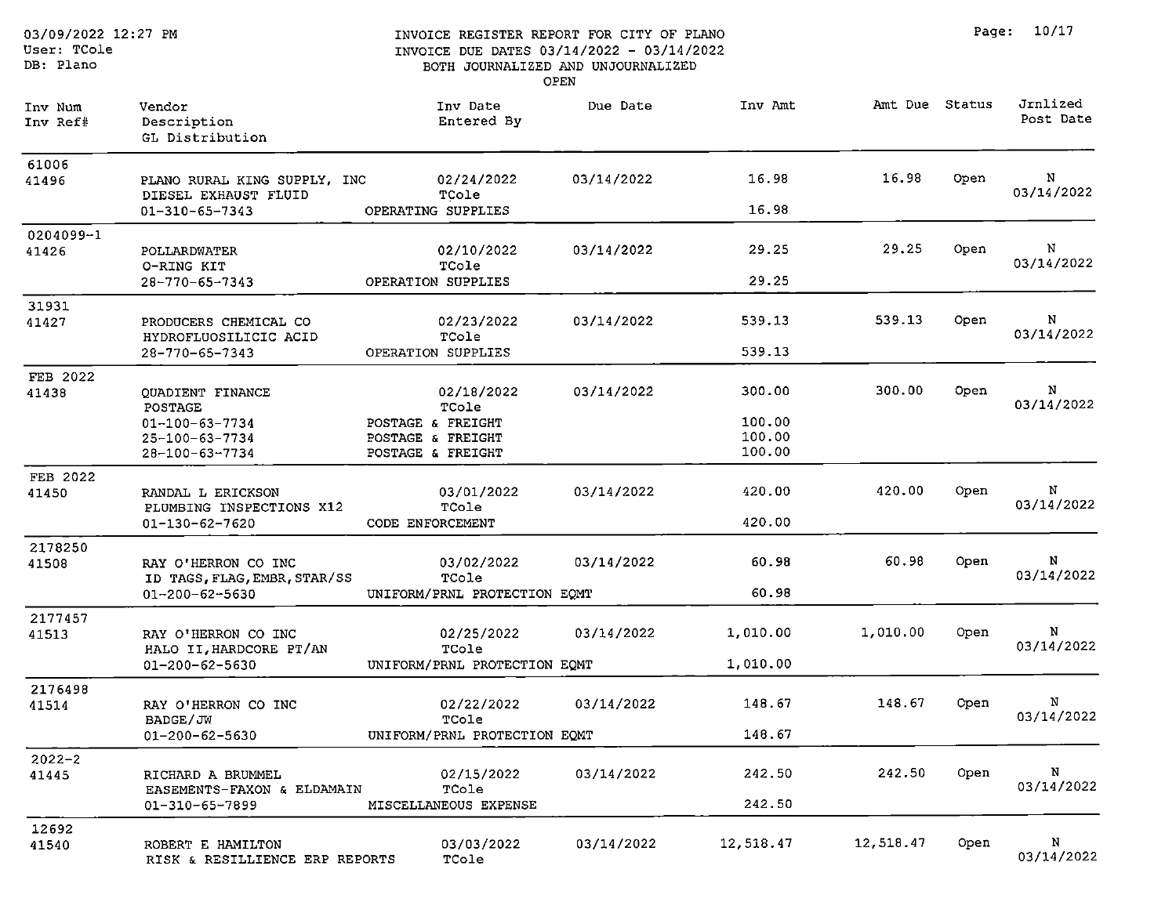#### INVOICE REGISTER REPORT FOR CITY OF PLANO INVOICE DUE DATES 03/14/2022 - 03/14/2022 BOTH JOURNALIZED AND UNJOURNALIZED OPEN

| Inv Num<br>Inv Ref# | Vendor<br>Description<br>GL Distribution             | Inv Date<br>Entered By                 | Due Date   | Inv Amt          | Amt Due Status |      | Jrnlized<br>Post Date |
|---------------------|------------------------------------------------------|----------------------------------------|------------|------------------|----------------|------|-----------------------|
| 61006<br>41496      | PLANO RURAL KING SUPPLY, INC<br>DIESEL EXHAUST FLUID | 02/24/2022<br>TCole                    | 03/14/2022 | 16.98            | 16.98          | Open | N<br>03/14/2022       |
|                     | $01 - 310 - 65 - 7343$                               | OPERATING SUPPLIES                     |            | 16.98            |                |      |                       |
| 0204099-1<br>41426  | POLLARDWATER                                         | 02/10/2022                             | 03/14/2022 | 29.25            | 29.25          | Open | N                     |
|                     | O-RING KIT<br>28-770-65-7343                         | TCole<br>OPERATION SUPPLIES            |            | 29.25            |                |      | 03/14/2022            |
| 31931               |                                                      |                                        |            |                  |                |      |                       |
| 41427               | PRODUCERS CHEMICAL CO<br>HYDROFLUOSILICIC ACID       | 02/23/2022<br>TCole                    | 03/14/2022 | 539.13           | 539.13         | Open | N<br>03/14/2022       |
|                     | 28-770-65-7343                                       | OPERATION SUPPLIES                     |            | 539.13           |                |      |                       |
| FEB 2022<br>41438   | <b>QUADIENT FINANCE</b><br><b>POSTAGE</b>            | 02/18/2022<br>TCole                    | 03/14/2022 | 300.00           | 300.00         | Open | N<br>03/14/2022       |
|                     | 01-100-63-7734                                       | POSTAGE & FREIGHT                      |            | 100.00           |                |      |                       |
|                     | 25-100-63-7734<br>28-100-63-7734                     | POSTAGE & FREIGHT<br>POSTAGE & FREIGHT |            | 100.00<br>100.00 |                |      |                       |
| FEB 2022            |                                                      |                                        |            |                  |                |      |                       |
| 41450               | RANDAL L ERICKSON<br>PLUMBING INSPECTIONS X12        | 03/01/2022<br>TCole                    | 03/14/2022 | 420.00           | 420.00         | Open | N<br>03/14/2022       |
|                     | 01-130-62-7620                                       | CODE ENFORCEMENT                       |            | 420.00           |                |      |                       |
| 2178250             |                                                      |                                        |            |                  |                |      |                       |
| 41508               | RAY O'HERRON CO INC<br>ID TAGS, FLAG, EMBR, STAR/SS  | 03/02/2022<br>TCole                    | 03/14/2022 | 60.98            | 60.98          | Open | N<br>03/14/2022       |
|                     | 01-200-62-5630                                       | UNIFORM/PRNL PROTECTION EQMT           |            | 60.98            |                |      |                       |
| 2177457             |                                                      |                                        |            |                  |                |      |                       |
| 41513               | RAY O'HERRON CO INC<br>HALO II, HARDCORE PT/AN       | 02/25/2022<br>TCole                    | 03/14/2022 | 1,010.00         | 1,010.00       | Open | N<br>03/14/2022       |
|                     | 01-200-62-5630                                       | UNIFORM/PRNL PROTECTION EQMT           |            | 1,010.00         |                |      |                       |
| 2176498             |                                                      |                                        |            |                  |                |      |                       |
| 41514               | RAY O'HERRON CO INC<br>BADGE/JW                      | 02/22/2022<br>TCole                    | 03/14/2022 | 148.67           | 148.67         | Open | N<br>03/14/2022       |
|                     | $01 - 200 - 62 - 5630$                               | UNIFORM/PRNL PROTECTION EQMT           |            | 148.67           |                |      |                       |
| $2022 - 2$          |                                                      |                                        |            |                  |                |      |                       |
| 41445               | RICHARD A BRUMMEL                                    | 02/15/2022                             | 03/14/2022 | 242.50           | 242.50         | Open | N<br>03/14/2022       |
|                     | EASEMENTS-FAXON & ELDAMAIN<br>01-310-65-7899         | TCole<br>MISCELLANEOUS EXPENSE         |            | 242.50           |                |      |                       |
| 12692               |                                                      |                                        |            |                  |                |      |                       |
| 41540               | ROBERT E HAMILTON<br>RISK & RESILLIENCE ERP REPORTS  | 03/03/2022<br>TCole.                   | 03/14/2022 | 12,518.47        | 12,518.47      | Open | N<br>03/14/2022       |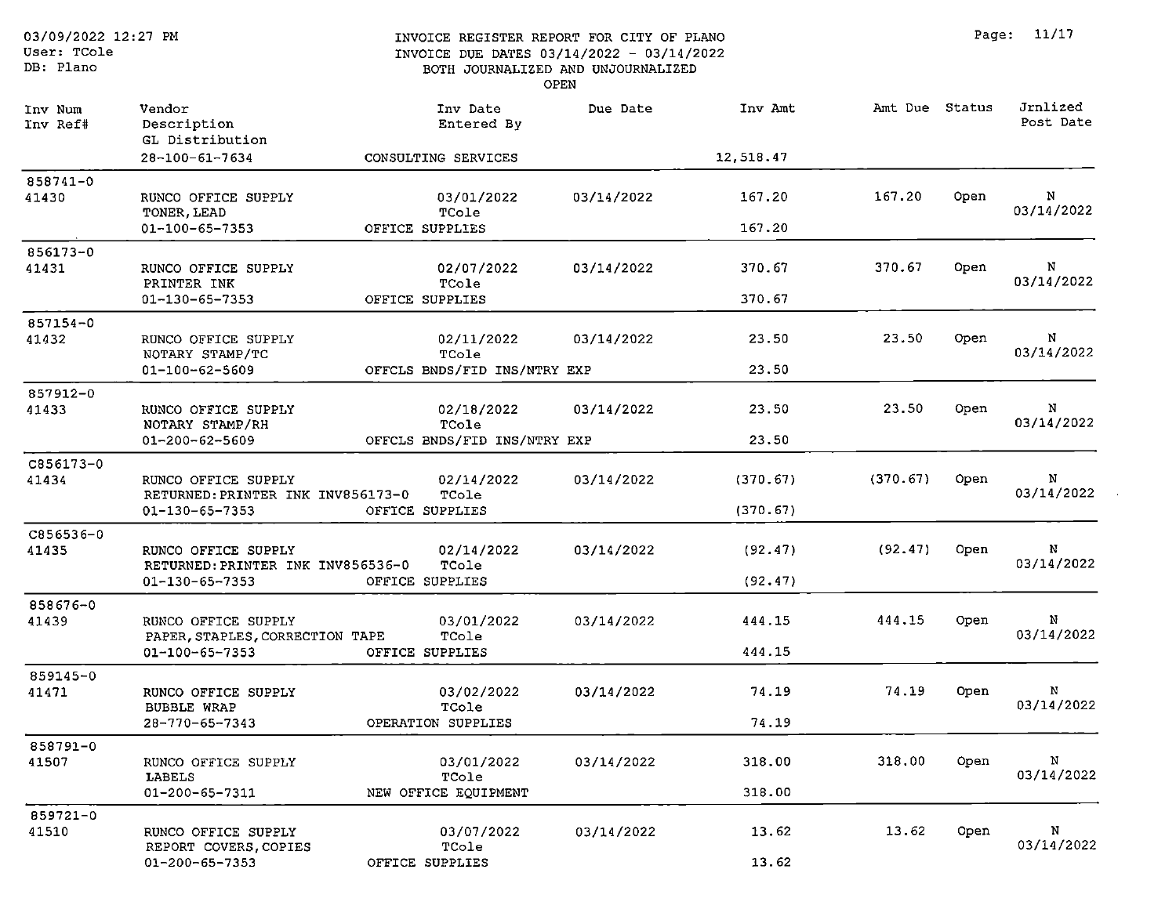OPEN

| Inv Num<br>Inv Ref# | Vendor<br>Description<br>GL Distribution                                         | Inv Date<br>Entered By                              | Due Date   | Inv Amt              | Amt Due Status |      | Jrnlized<br>Post Date      |
|---------------------|----------------------------------------------------------------------------------|-----------------------------------------------------|------------|----------------------|----------------|------|----------------------------|
|                     | 28-100-61-7634                                                                   | CONSULTING SERVICES                                 |            | 12,518.47            |                |      |                            |
| 858741-0<br>41430   | RUNCO OFFICE SUPPLY<br>TONER, LEAD<br>01-100-65-7353                             | 03/01/2022<br>TCole<br>OFFICE SUPPLIES              | 03/14/2022 | 167.20<br>167.20     | 167.20         | Open | N<br>03/14/2022            |
| 856173-0<br>41431   | RUNCO OFFICE SUPPLY<br>PRINTER INK<br>01-130-65-7353                             | 02/07/2022<br>TCole<br>OFFICE SUPPLIES              | 03/14/2022 | 370.67<br>370.67     | 370.67         | Open | N<br>03/14/2022            |
| 857154-0<br>41432   | RUNCO OFFICE SUPPLY<br>NOTARY STAMP/TC<br>$01 - 100 - 62 - 5609$                 | 02/11/2022<br>TCole<br>OFFCLS BNDS/FID INS/NTRY EXP | 03/14/2022 | 23.50<br>23.50       | 23.50          | Open | N<br>03/14/2022            |
| 857912-0<br>41433   | RUNCO OFFICE SUPPLY<br>NOTARY STAMP/RH<br>$01 - 200 - 62 - 5609$                 | 02/18/2022<br>TCole<br>OFFCLS BNDS/FID INS/NTRY EXP | 03/14/2022 | 23.50<br>23.50       | 23.50          | Open | N<br>03/14/2022            |
| C856173-0<br>41434  | RUNCO OFFICE SUPPLY<br>RETURNED: PRINTER INK INV856173-0<br>01-130-65-7353       | 02/14/2022<br>TCole<br>OFFICE SUPPLIES              | 03/14/2022 | (370.67)<br>(370.67) | (370.67)       | Open | $\, {\bf N}$<br>03/14/2022 |
| C856536-0<br>41435  | RUNCO OFFICE SUPPLY<br>RETURNED: PRINTER INK INV856536-0<br>01-130-65-7353       | 02/14/2022<br>TCole<br>OFFICE SUPPLIES              | 03/14/2022 | (92.47)<br>(92.47)   | (92.47)        | Open | N<br>03/14/2022            |
| 858676-0<br>41439   | RUNCO OFFICE SUPPLY<br>PAPER, STAPLES, CORRECTION TAPE<br>$01 - 100 - 65 - 7353$ | 03/01/2022<br>TCole<br>OFFICE SUPPLIES              | 03/14/2022 | 444.15<br>444.15     | 444.15         | Open | N<br>03/14/2022            |
| 859145-0<br>41471   | RUNCO OFFICE SUPPLY<br><b>BUBBLE WRAP</b><br>28-770-65-7343                      | 03/02/2022<br>TCole<br>OPERATION SUPPLIES           | 03/14/2022 | 74.19<br>74.19       | 74.19          | Open | N<br>03/14/2022            |
| 858791-0<br>41507   | RUNCO OFFICE SUPPLY<br><b>LABELS</b><br>01-200-65-7311                           | 03/01/2022<br>TCole<br>NEW OFFICE EQUIPMENT         | 03/14/2022 | 318.00<br>318.00     | 318.00         | Open | $\mathbf N$<br>03/14/2022  |
| 859721-0<br>41510   | RUNCO OFFICE SUPPLY<br>REPORT COVERS, COPIES<br>$01 - 200 - 65 - 7353$           | 03/07/2022<br>TCole<br>OFFICE SUPPLIES              | 03/14/2022 | 13.62<br>13.62       | 13.62          | Open | N<br>03/14/2022            |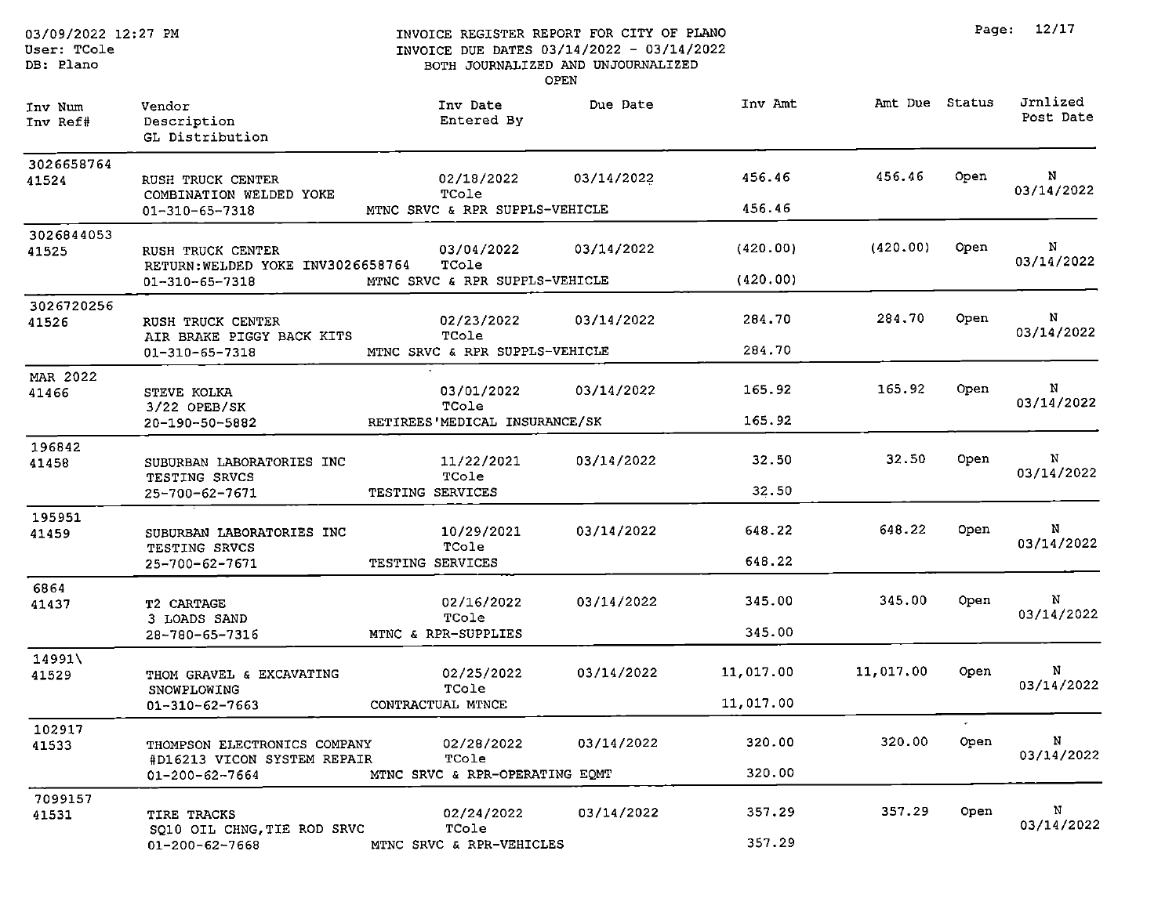User: TCole

DB: Plano

| Inv Num<br>Inv Ref# | Vendor<br>Description<br>GL Distribution                    | Inv Date<br>Entered By         | Due Date   | Inv Amt   | Amt Due Status |            | Jrnlized<br>Post Date |
|---------------------|-------------------------------------------------------------|--------------------------------|------------|-----------|----------------|------------|-----------------------|
| 3026658764<br>41524 | RUSH TRUCK CENTER<br>COMBINATION WELDED YOKE                | 02/18/2022<br>TCole            | 03/14/2022 | 456.46    | 456.46         | Open       | N<br>03/14/2022       |
|                     | 01-310-65-7318                                              | MTNC SRVC & RPR SUPPLS-VEHICLE |            | 456.46    |                |            |                       |
| 3026844053<br>41525 | RUSH TRUCK CENTER<br>RETURN: WELDED YOKE INV3026658764      | 03/04/2022<br>TCole            | 03/14/2022 | (420.00)  | (420.00)       | Open       | N<br>03/14/2022       |
|                     | 01-310-65-7318                                              | MTNC SRVC & RPR SUPPLS-VEHICLE |            | (420.00)  |                |            |                       |
| 3026720256<br>41526 | RUSH TRUCK CENTER<br>AIR BRAKE PIGGY BACK KITS              | 02/23/2022<br>TCole            | 03/14/2022 | 284.70    | 284.70         | Open       | N<br>03/14/2022       |
|                     | 01-310-65-7318                                              | MTNC SRVC & RPR SUPPLS-VEHICLE |            | 284.70    |                |            |                       |
| MAR 2022<br>41466   | STEVE KOLKA<br>$3/22$ OPEB/SK                               | 03/01/2022<br>TCole            | 03/14/2022 | 165.92    | 165.92         | Open       | N<br>03/14/2022       |
|                     | 20-190-50-5882                                              | RETIREES'MEDICAL INSURANCE/SK  |            | 165.92    |                |            |                       |
| 196842              |                                                             |                                |            |           |                |            |                       |
| 41458               | SUBURBAN LABORATORIES INC                                   | 11/22/2021<br>TCole            | 03/14/2022 | 32.50     | 32.50          | Open       | N<br>03/14/2022       |
|                     | TESTING SRVCS<br>25-700-62-7671                             | TESTING SERVICES               |            | 32.50     |                |            |                       |
| 195951              |                                                             |                                |            |           |                |            |                       |
| 41459               | SUBURBAN LABORATORIES INC<br>TESTING SRVCS                  | 10/29/2021<br>TCole            | 03/14/2022 | 648.22    | 648.22         | Open       | N<br>03/14/2022       |
|                     | 25-700-62-7671                                              | TESTING SERVICES               |            | 648.22    |                |            |                       |
| 6864                |                                                             |                                |            |           |                |            |                       |
| 41437               | T2 CARTAGE<br>3 LOADS SAND                                  | 02/16/2022<br>TCole            | 03/14/2022 | 345.00    | 345.00         | Open       | N<br>03/14/2022       |
|                     | 28-780-65-7316                                              | MTNC & RPR-SUPPLIES            |            | 345.00    |                |            |                       |
| 14991\              |                                                             |                                |            |           |                |            |                       |
| 41529               | THOM GRAVEL & EXCAVATING<br>SNOWPLOWING                     | 02/25/2022<br>TCole            | 03/14/2022 | 11,017.00 | 11,017.00      | Open.      | N<br>03/14/2022       |
|                     | $01 - 310 - 62 - 7663$                                      | CONTRACTUAL MTNCE              |            | 11,017.00 |                |            |                       |
| 102917              |                                                             |                                |            |           |                | $\sigma$ . |                       |
| 41533               | THOMPSON ELECTRONICS COMPANY<br>#D16213 VICON SYSTEM REPAIR | 02/28/2022<br>TCole            | 03/14/2022 | 320.00    | 320.00         | Open       | N<br>03/14/2022       |
|                     | 01-200-62-7664                                              | MTNC SRVC & RPR-OPERATING EQMT |            | 320.00    |                |            |                       |
| 7099157             |                                                             |                                |            |           |                |            |                       |
| 41531               | TIRE TRACKS<br>SQ10 OIL CHNG, TIE ROD SRVC                  | 02/24/2022<br>TCole            | 03/14/2022 | 357.29    | 357.29         | Open       | N<br>03/14/2022       |
|                     | 01-200-62-7668                                              | MTNC SRVC & RPR-VEHICLES       |            | 357.29    |                |            |                       |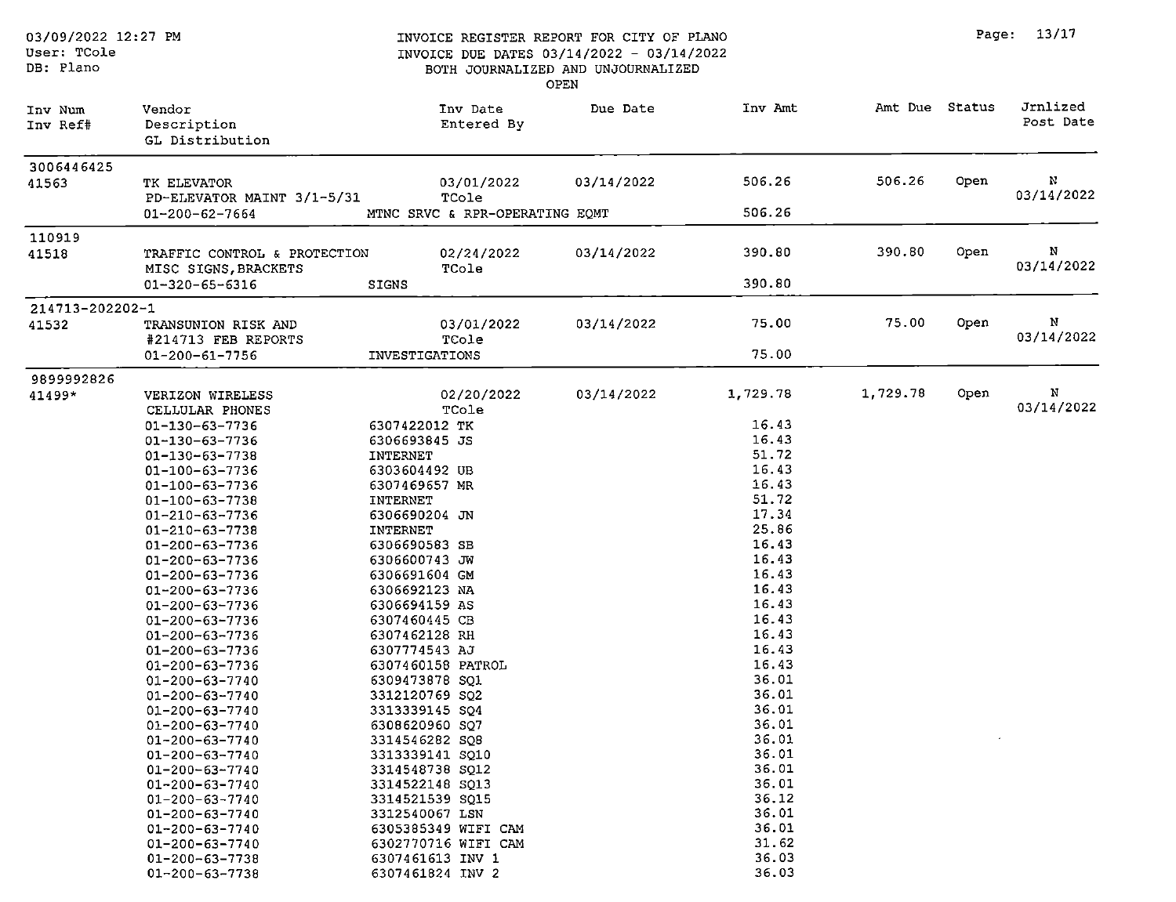#### INVOICE REGISTER REPORT FOR CITY OF PLANO INVOICE DUE DATES 03/14/2022 - 03/14/2022 BOTH JOURNALIZED AND UNJOURNALIZED

OPEN

Page: 13/17

| Inv Num<br>Inv Ref# | Vendor<br>Description<br>GL Distribution             | Inv Date<br>Entered By                  | Due Date   | Inv Amt  | Amt Due Status |      | Jrnlized<br>Post Date |
|---------------------|------------------------------------------------------|-----------------------------------------|------------|----------|----------------|------|-----------------------|
| 3006446425<br>41563 | TK ELEVATOR                                          | 03/01/2022                              | 03/14/2022 | 506.26   | 506.26         | Open | N                     |
|                     | PD-ELEVATOR MAINT 3/1-5/31<br>01-200-62-7664         | TCole<br>MTNC SRVC & RPR-OPERATING EQMT |            | 506.26   |                |      | 03/14/2022            |
| 110919              |                                                      |                                         |            |          |                |      |                       |
| 41518               | TRAFFIC CONTROL & PROTECTION<br>MISC SIGNS, BRACKETS | 02/24/2022<br>TCole                     | 03/14/2022 | 390.80   | 390.80         | Open | N<br>03/14/2022       |
|                     | $01 - 320 - 65 - 6316$                               | <b>SIGNS</b>                            |            | 390.80   |                |      |                       |
| 214713-202202-1     |                                                      |                                         |            |          |                |      |                       |
| 41532               | TRANSUNION RISK AND<br>#214713 FEB REPORTS           | 03/01/2022<br>TCole                     | 03/14/2022 | 75.00    | 75.00          | Open | N<br>03/14/2022       |
|                     | $01 - 200 - 61 - 7756$                               | INVESTIGATIONS                          |            | 75.00    |                |      |                       |
| 9899992826          |                                                      |                                         |            |          |                |      |                       |
| 41499*              | VERIZON WIRELESS<br>CELLULAR PHONES                  | 02/20/2022<br>TCole                     | 03/14/2022 | 1,729.78 | 1,729.78       | Open | N<br>03/14/2022       |
|                     | $01 - 130 - 63 - 7736$                               | 6307422012 TK                           |            | 16.43    |                |      |                       |
|                     | $01 - 130 - 63 - 7736$                               | 6306693845 JS                           |            | 16.43    |                |      |                       |
|                     | 01-130-63-7738                                       | INTERNET                                |            | 51.72    |                |      |                       |
|                     | 01-100-63-7736                                       | 6303604492 UB                           |            | 16.43    |                |      |                       |
|                     | 01-100-63-7736                                       | 6307469657 MR                           |            | 16.43    |                |      |                       |
|                     | 01-100-63-7738                                       | INTERNET                                |            | 51.72    |                |      |                       |
|                     | 01-210-63-7736                                       | 6306690204 JN                           |            | 17.34    |                |      |                       |
|                     | 01-210-63-7738                                       | INTERNET                                |            | 25.86    |                |      |                       |
|                     | 01-200-63-7736                                       | 6306690583 SB                           |            | 16.43    |                |      |                       |
|                     | 01-200-63-7736                                       | 6306600743 JW                           |            | 16.43    |                |      |                       |
|                     | 01-200-63-7736                                       | 6306691604 GM                           |            | 16.43    |                |      |                       |
|                     | 01-200-63-7736                                       | 6306692123 NA                           |            | 16.43    |                |      |                       |
|                     | 01-200-63-7736                                       | 6306694159 AS                           |            | 16.43    |                |      |                       |
|                     | 01-200-63-7736                                       | 6307460445 CB                           |            | 16.43    |                |      |                       |
|                     | 01-200-63-7736                                       | 6307462128 RH                           |            | 16.43    |                |      |                       |
|                     | 01-200-63-7736                                       | 6307774543 AJ                           |            | 16.43    |                |      |                       |
|                     | 01-200-63-7736                                       | 6307460158 PATROL                       |            | 16.43    |                |      |                       |
|                     | 01-200-63-7740                                       | 6309473878 SQ1                          |            | 36.01    |                |      |                       |
|                     | $01 - 200 - 63 - 7740$                               | 3312120769 SQ2                          |            | 36.01    |                |      |                       |
|                     | 01-200-63-7740                                       | 3313339145 SQ4                          |            | 36.01    |                |      |                       |
|                     | 01-200-63-7740                                       | 6308620960 SQ7                          |            | 36.01    |                |      |                       |
|                     | $01 - 200 - 63 - 7740$                               | 3314546282 SQ8                          |            | 36.01    |                |      |                       |
|                     | $01 - 200 - 63 - 7740$                               | 3313339141 SQ10                         |            | 36.01    |                |      |                       |
|                     | 01-200-63-7740                                       | 3314548738 SQ12                         |            | 36.01    |                |      |                       |
|                     | $01 - 200 - 63 - 7740$                               | 3314522148 SQ13                         |            | 36.01    |                |      |                       |
|                     | $01 - 200 - 63 - 7740$                               | 3314521539 SQ15                         |            | 36.12    |                |      |                       |
|                     | 01-200-63-7740                                       | 3312540067 LSN                          |            | 36.01    |                |      |                       |
|                     | 01-200-63-7740                                       | 6305385349 WIFI CAM                     |            | 36.01    |                |      |                       |
|                     | $01 - 200 - 63 - 7740$                               | 6302770716 WIFI CAM                     |            | 31.62    |                |      |                       |
|                     | 01-200-63-7738                                       | 6307461613 INV 1                        |            | 36.03    |                |      |                       |
|                     | $01 - 200 - 63 - 7738$                               | 6307461824 INV 2                        |            | 36.03    |                |      |                       |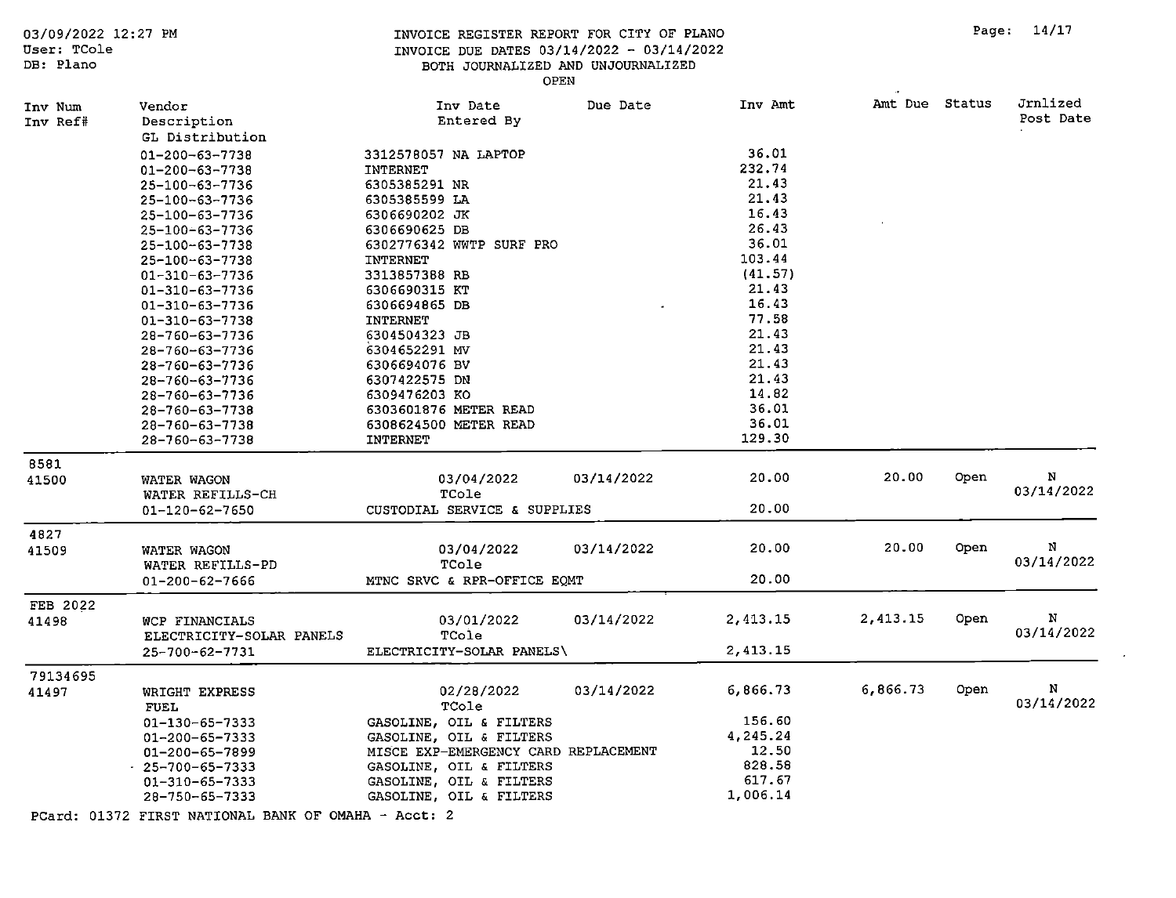Page: 14/17

INVOICE REGISTER REPORT FOR CITY OF PLANO INVOICE DUE DATES 03/14/2022 - 03/14/2022 BOTH JOURNALIZED AND UNJOURNALIZED

User: TCole DB: Plano

03/09/2022 12:27 PM

#### OPEN

| Inv Num<br>Inv Ref# | Vendor<br>Description                     | Inv Date<br>Entered By                             | Due Date   | Inv Amt  | Amt Due Status |      | Jrnlized<br>Post Date |
|---------------------|-------------------------------------------|----------------------------------------------------|------------|----------|----------------|------|-----------------------|
|                     | GL Distribution                           |                                                    |            |          |                |      |                       |
|                     | 01-200-63-7738                            | 3312578057 NA LAPTOP                               |            | 36.01    |                |      |                       |
|                     | 01-200-63-7738                            | INTERNET                                           |            | 232.74   |                |      |                       |
|                     | 25-100-63-7736                            | 6305385291 NR                                      |            | 21.43    |                |      |                       |
|                     | 25-100-63-7736                            | 6305385599 LA                                      |            | 21.43    |                |      |                       |
|                     | 25-100-63-7736                            | 6306690202 JK                                      |            | 16.43    |                |      |                       |
|                     | 25-100-63-7736                            | 6306690625 DB                                      |            | 26.43    |                |      |                       |
|                     | 25-100-63-7738                            | 6302776342 WWTP SURF PRO                           |            | 36.01    |                |      |                       |
|                     | 25-100-63-7738                            | INTERNET                                           |            | 103.44   |                |      |                       |
|                     | $01 - 310 - 63 - 7736$                    | 3313857388 RB                                      |            | (41.57)  |                |      |                       |
|                     | 01-310-63-7736                            | 6306690315 KT                                      |            | 21.43    |                |      |                       |
|                     | 01-310-63-7736                            | 6306694865 DB                                      |            | 16.43    |                |      |                       |
|                     | 01-310-63-7738                            | <b>INTERNET</b>                                    |            | 77.58    |                |      |                       |
|                     | 28-760-63-7736                            | 6304504323 JB                                      |            | 21.43    |                |      |                       |
|                     | 28-760-63-7736                            | 6304652291 MV                                      |            | 21.43    |                |      |                       |
|                     | 28-760-63-7736                            | 6306694076 BV                                      |            | 21.43    |                |      |                       |
|                     | 28-760-63-7736                            | 6307422575 DN                                      |            | 21.43    |                |      |                       |
|                     | 28-760-63-7736                            | 6309476203 KO                                      |            | 14.82    |                |      |                       |
|                     | 28-760-63-7738                            | 6303601876 METER READ                              |            | 36.01    |                |      |                       |
|                     | 28-760-63-7738                            | 6308624500 METER READ                              |            | 36.01    |                |      |                       |
|                     | 28-760-63-7738                            | <b>INTERNET</b>                                    |            | 129.30   |                |      |                       |
| 8581                |                                           |                                                    |            |          |                |      |                       |
| 41500               | WATER WAGON                               | 03/04/2022                                         | 03/14/2022 | 20.00    | 20.00          | Open | N                     |
|                     | WATER REFILLS-CH                          | TCole                                              |            |          |                |      | 03/14/2022            |
|                     | 01-120-62-7650                            | CUSTODIAL SERVICE & SUPPLIES                       |            | 20.00    |                |      |                       |
|                     |                                           |                                                    |            |          |                |      |                       |
| 4827                |                                           |                                                    |            |          | 20.00          |      | N                     |
| 41509               | WATER WAGON                               | 03/04/2022                                         | 03/14/2022 | 20.00    |                | Open | 03/14/2022            |
|                     | WATER REFILLS-PD                          | TCole                                              |            |          |                |      |                       |
|                     | 01-200-62-7666                            | MTNC SRVC & RPR-OFFICE EQMT                        |            | 20.00    |                |      |                       |
| FEB 2022            |                                           |                                                    |            |          |                |      |                       |
| 41498               | WCP FINANCIALS                            | 03/01/2022                                         | 03/14/2022 | 2,413.15 | 2,413.15       | Open | N                     |
|                     | ELECTRICITY-SOLAR PANELS                  | TCole                                              |            |          |                |      | 03/14/2022            |
|                     | 25-700-62-7731                            | ELECTRICITY-SOLAR PANELS\                          |            | 2,413.15 |                |      |                       |
| 79134695            |                                           |                                                    |            |          |                |      |                       |
| 41497               | WRIGHT EXPRESS                            | 02/28/2022                                         | 03/14/2022 | 6,866.73 | 6,866.73       | Open | N                     |
|                     | <b>FUEL</b>                               |                                                    |            |          |                |      | 03/14/2022            |
|                     |                                           | TCole                                              |            | 156.60   |                |      |                       |
|                     | 01-130-65-7333                            | GASOLINE, OIL & FILTERS<br>GASOLINE, OIL & FILTERS |            | 4,245.24 |                |      |                       |
|                     | 01-200-65-7333                            | MISCE EXP-EMERGENCY CARD REPLACEMENT               |            | 12.50    |                |      |                       |
|                     | 01-200-65-7899                            | GASOLINE, OIL & FILTERS                            |            | 828.58   |                |      |                       |
|                     | $-25 - 700 - 65 - 7333$<br>01-310-65-7333 | GASOLINE, OIL & FILTERS                            |            | 617.67   |                |      |                       |
|                     | 28-750-65-7333                            | GASOLINE, OIL & FILTERS                            |            | 1,006.14 |                |      |                       |
|                     |                                           |                                                    |            |          |                |      |                       |

PCard: 01372 FIRST NATIONAL BANK OF OMAHA - Acct: 2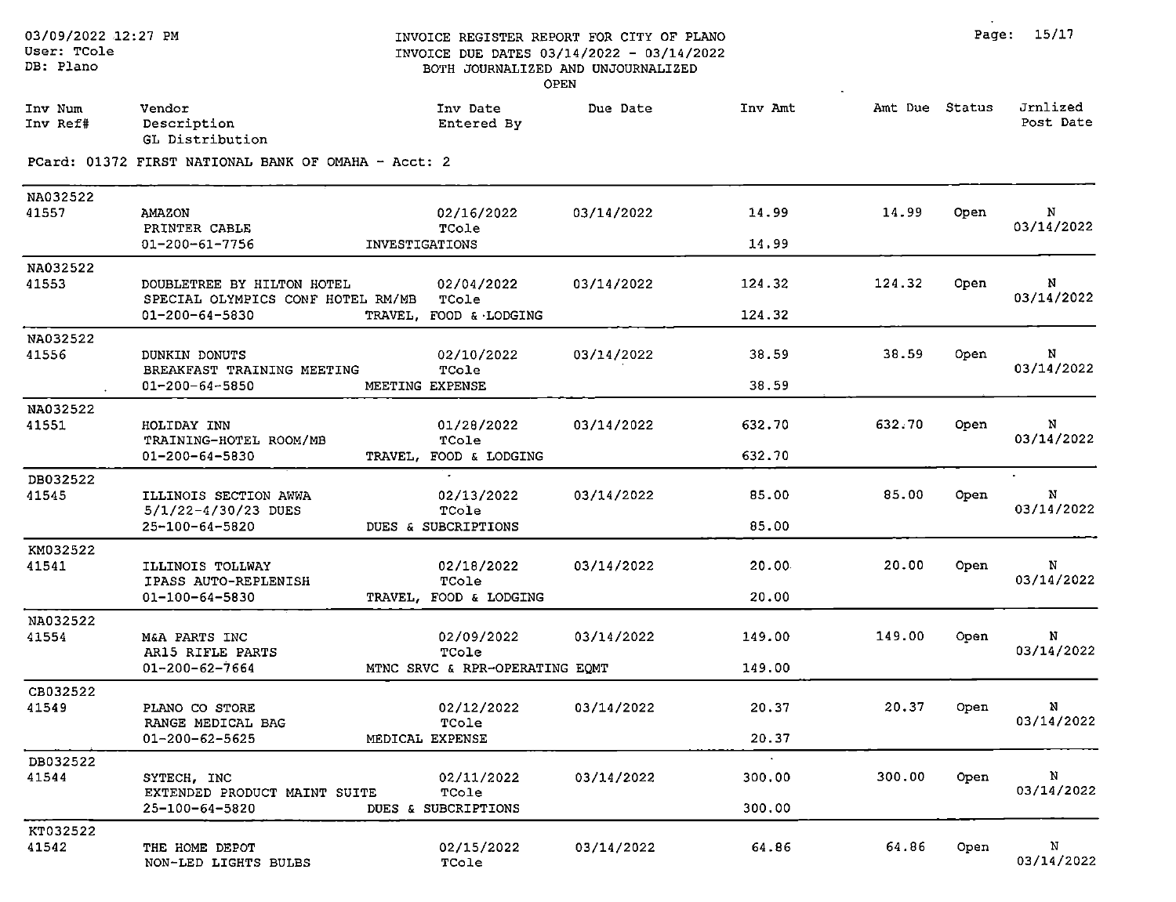| Inv Num<br>Inv Ref# | Vendor<br>Description<br>GL Distribution                                          |                 | Inv Date<br>Entered By                                | Due Date   | Inv Amt          | Amt Due Status |      | Jrnlized<br>Post Date |
|---------------------|-----------------------------------------------------------------------------------|-----------------|-------------------------------------------------------|------------|------------------|----------------|------|-----------------------|
|                     | PCard: 01372 FIRST NATIONAL BANK OF OMAHA - Acct: 2                               |                 |                                                       |            |                  |                |      |                       |
| NA032522<br>41557   | <b>AMAZON</b><br>PRINTER CABLE<br>01-200-61-7756                                  | INVESTIGATIONS  | 02/16/2022<br>TCole                                   | 03/14/2022 | 14.99<br>14.99   | 14.99          | Open | N<br>03/14/2022       |
| NA032522<br>41553   | DOUBLETREE BY HILTON HOTEL<br>SPECIAL OLYMPICS CONF HOTEL RM/MB<br>01-200-64-5830 |                 | 02/04/2022<br>TCole<br>TRAVEL, FOOD & LODGING         | 03/14/2022 | 124.32<br>124.32 | 124.32         | Open | N<br>03/14/2022       |
| NA032522<br>41556   | DUNKIN DONUTS<br>BREAKFAST TRAINING MEETING<br>01-200-64-5850                     | MEETING EXPENSE | 02/10/2022<br>TCole                                   | 03/14/2022 | 38.59<br>38.59   | 38.59          | Open | N<br>03/14/2022       |
| NA032522<br>41551   | HOLIDAY INN<br>TRAINING-HOTEL ROOM/MB<br>01-200-64-5830                           |                 | 01/28/2022<br>TCole<br>TRAVEL, FOOD & LODGING         | 03/14/2022 | 632.70<br>632.70 | 632.70         | Open | N<br>03/14/2022       |
| DB032522<br>41545   | ILLINOIS SECTION AWWA<br>5/1/22-4/30/23 DUES<br>25-100-64-5820                    |                 | 02/13/2022<br>TCole<br>DUES & SUBCRIPTIONS            | 03/14/2022 | 85.00<br>85.00   | 85.00          | Open | N<br>03/14/2022       |
| KM032522<br>41541   | ILLINOIS TOLLWAY<br>IPASS AUTO-REPLENISH<br>01-100-64-5830                        |                 | 02/18/2022<br>TCole<br>TRAVEL, FOOD & LODGING         | 03/14/2022 | 20.00<br>20.00   | 20.00          | Open | N<br>03/14/2022       |
| NA032522<br>41554   | M&A PARTS INC<br>AR15 RIFLE PARTS<br>$01 - 200 - 62 - 7664$                       |                 | 02/09/2022<br>TCole<br>MTNC SRVC & RPR-OPERATING EQMT | 03/14/2022 | 149.00<br>149.00 | 149.00         | Open | N<br>03/14/2022       |
| CB032522<br>41549   | PLANO CO STORE<br>RANGE MEDICAL BAG<br>$01 - 200 - 62 - 5625$                     | MEDICAL EXPENSE | 02/12/2022<br>TCole                                   | 03/14/2022 | 20.37<br>20.37   | 20.37          | Open | N<br>03/14/2022       |
| DB032522<br>41544   | SYTECH, INC<br>EXTENDED PRODUCT MAINT SUITE<br>25-100-64-5820                     |                 | 02/11/2022<br>TCole<br>DUES & SUBCRIPTIONS            | 03/14/2022 | 300.00<br>300.00 | 300.00         | Open | N<br>03/14/2022       |
| KT032522<br>41542   | THE HOME DEPOT                                                                    |                 | 02/15/2022                                            | 03/14/2022 | 64.86            | 64.86          | Open | N                     |

TCole

NON-LED LIGHTS BULBS

03/14/2022

 $\lambda$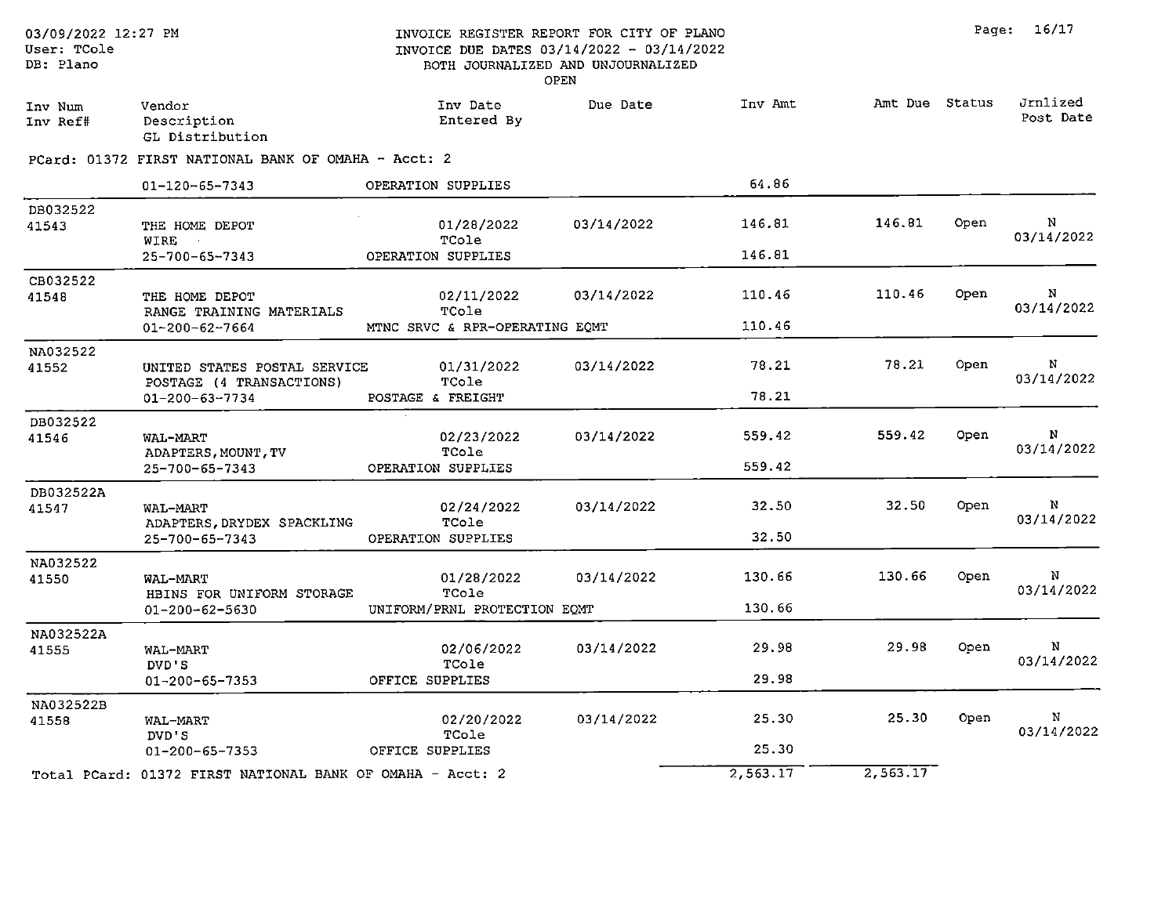| Jrnlized<br>Amt Due Status<br>Inv Amt<br>Inv Date<br>Due Date<br>Vendor<br>Inv Num<br>Post Date<br>Entered By<br>Description<br>Inv Ref#<br>GL Distribution<br>PCard: 01372 FIRST NATIONAL BANK OF OMAHA - Acct: 2<br>64.86<br>OPERATION SUPPLIES<br>01-120-65-7343<br>DB032522<br>N<br>146.81<br>146.81<br>Open<br>03/14/2022<br>01/28/2022<br>41543<br>THE HOME DEPOT<br>03/14/2022<br>TCole<br>WIRE<br>146.81<br>25-700-65-7343<br>OPERATION SUPPLIES<br>CB032522<br>N<br>Open<br>110.46<br>110.46<br>03/14/2022<br>02/11/2022<br>41548<br>THE HOME DEPOT<br>03/14/2022<br>TCole<br>RANGE TRAINING MATERIALS<br>110.46<br>MTNC SRVC & RPR-OPERATING EQMT<br>01-200-62-7664<br>NA032522<br>N<br>78.21<br>78.21<br>Open<br>03/14/2022<br>01/31/2022<br>UNITED STATES POSTAL SERVICE<br>41552<br>03/14/2022<br>TCole<br>POSTAGE (4 TRANSACTIONS)<br>78.21<br>01-200-63-7734<br>POSTAGE & FREIGHT<br>DB032522<br>N<br>559.42<br>Open<br>559.42<br>03/14/2022<br>02/23/2022<br>WAL-MART<br>41546<br>03/14/2022<br>TCole<br>ADAPTERS, MOUNT, TV<br>559.42<br>OPERATION SUPPLIES<br>25-700-65-7343<br>DB032522A<br>N<br>32.50<br>32.50<br>Open<br>03/14/2022<br>02/24/2022<br>41547<br>WAL-MART<br>03/14/2022<br>TCole<br>ADAPTERS, DRYDEX SPACKLING<br>32.50<br>OPERATION SUPPLIES<br>25-700-65-7343<br>NA032522<br>130.66<br>N<br>130.66<br>Open<br>03/14/2022<br>01/28/2022<br>41550<br>WAL-MART<br>03/14/2022<br>TCole<br>HBINS FOR UNIFORM STORAGE<br>130.66<br>UNIFORM/PRNL PROTECTION EQMT<br>$01 - 200 - 62 - 5630$<br>NA032522A<br>N<br>29.98<br>29.98<br>Open<br>03/14/2022<br>02/06/2022<br>41555<br>WAL-MART<br>03/14/2022<br>TCole<br>DVD'S<br>29.98<br>OFFICE SUPPLIES<br>$01 - 200 - 65 - 7353$<br>NA032522B<br>N<br>25.30<br>Open<br>03/14/2022<br>25.30<br>02/20/2022<br>41558<br>WAL-MART<br>03/14/2022<br>TCole<br>DVD'S<br>25.30<br>OFFICE SUPPLIES<br>01-200-65-7353<br>2,563.17<br>2,563.17<br>Total PCard: 01372 FIRST NATIONAL BANK OF OMAHA - Acct: 2 | 03/09/2022 12:27 PM<br>User: TCole<br>DB: Plano |  | INVOICE REGISTER REPORT FOR CITY OF PLANO<br>INVOICE DUE DATES 03/14/2022 - 03/14/2022<br>BOTH JOURNALIZED AND UNJOURNALIZED<br><b>OPEN</b> |  | Page: 16/17 |  |
|----------------------------------------------------------------------------------------------------------------------------------------------------------------------------------------------------------------------------------------------------------------------------------------------------------------------------------------------------------------------------------------------------------------------------------------------------------------------------------------------------------------------------------------------------------------------------------------------------------------------------------------------------------------------------------------------------------------------------------------------------------------------------------------------------------------------------------------------------------------------------------------------------------------------------------------------------------------------------------------------------------------------------------------------------------------------------------------------------------------------------------------------------------------------------------------------------------------------------------------------------------------------------------------------------------------------------------------------------------------------------------------------------------------------------------------------------------------------------------------------------------------------------------------------------------------------------------------------------------------------------------------------------------------------------------------------------------------------------------------------------------------------------------------------------------------------------------------------------------------------------------------------------------------------------------------------------------------------------|-------------------------------------------------|--|---------------------------------------------------------------------------------------------------------------------------------------------|--|-------------|--|
|                                                                                                                                                                                                                                                                                                                                                                                                                                                                                                                                                                                                                                                                                                                                                                                                                                                                                                                                                                                                                                                                                                                                                                                                                                                                                                                                                                                                                                                                                                                                                                                                                                                                                                                                                                                                                                                                                                                                                                            |                                                 |  |                                                                                                                                             |  |             |  |
|                                                                                                                                                                                                                                                                                                                                                                                                                                                                                                                                                                                                                                                                                                                                                                                                                                                                                                                                                                                                                                                                                                                                                                                                                                                                                                                                                                                                                                                                                                                                                                                                                                                                                                                                                                                                                                                                                                                                                                            |                                                 |  |                                                                                                                                             |  |             |  |
|                                                                                                                                                                                                                                                                                                                                                                                                                                                                                                                                                                                                                                                                                                                                                                                                                                                                                                                                                                                                                                                                                                                                                                                                                                                                                                                                                                                                                                                                                                                                                                                                                                                                                                                                                                                                                                                                                                                                                                            |                                                 |  |                                                                                                                                             |  |             |  |
|                                                                                                                                                                                                                                                                                                                                                                                                                                                                                                                                                                                                                                                                                                                                                                                                                                                                                                                                                                                                                                                                                                                                                                                                                                                                                                                                                                                                                                                                                                                                                                                                                                                                                                                                                                                                                                                                                                                                                                            |                                                 |  |                                                                                                                                             |  |             |  |
|                                                                                                                                                                                                                                                                                                                                                                                                                                                                                                                                                                                                                                                                                                                                                                                                                                                                                                                                                                                                                                                                                                                                                                                                                                                                                                                                                                                                                                                                                                                                                                                                                                                                                                                                                                                                                                                                                                                                                                            |                                                 |  |                                                                                                                                             |  |             |  |
|                                                                                                                                                                                                                                                                                                                                                                                                                                                                                                                                                                                                                                                                                                                                                                                                                                                                                                                                                                                                                                                                                                                                                                                                                                                                                                                                                                                                                                                                                                                                                                                                                                                                                                                                                                                                                                                                                                                                                                            |                                                 |  |                                                                                                                                             |  |             |  |
|                                                                                                                                                                                                                                                                                                                                                                                                                                                                                                                                                                                                                                                                                                                                                                                                                                                                                                                                                                                                                                                                                                                                                                                                                                                                                                                                                                                                                                                                                                                                                                                                                                                                                                                                                                                                                                                                                                                                                                            |                                                 |  |                                                                                                                                             |  |             |  |
|                                                                                                                                                                                                                                                                                                                                                                                                                                                                                                                                                                                                                                                                                                                                                                                                                                                                                                                                                                                                                                                                                                                                                                                                                                                                                                                                                                                                                                                                                                                                                                                                                                                                                                                                                                                                                                                                                                                                                                            |                                                 |  |                                                                                                                                             |  |             |  |
|                                                                                                                                                                                                                                                                                                                                                                                                                                                                                                                                                                                                                                                                                                                                                                                                                                                                                                                                                                                                                                                                                                                                                                                                                                                                                                                                                                                                                                                                                                                                                                                                                                                                                                                                                                                                                                                                                                                                                                            |                                                 |  |                                                                                                                                             |  |             |  |
|                                                                                                                                                                                                                                                                                                                                                                                                                                                                                                                                                                                                                                                                                                                                                                                                                                                                                                                                                                                                                                                                                                                                                                                                                                                                                                                                                                                                                                                                                                                                                                                                                                                                                                                                                                                                                                                                                                                                                                            |                                                 |  |                                                                                                                                             |  |             |  |
|                                                                                                                                                                                                                                                                                                                                                                                                                                                                                                                                                                                                                                                                                                                                                                                                                                                                                                                                                                                                                                                                                                                                                                                                                                                                                                                                                                                                                                                                                                                                                                                                                                                                                                                                                                                                                                                                                                                                                                            |                                                 |  |                                                                                                                                             |  |             |  |
|                                                                                                                                                                                                                                                                                                                                                                                                                                                                                                                                                                                                                                                                                                                                                                                                                                                                                                                                                                                                                                                                                                                                                                                                                                                                                                                                                                                                                                                                                                                                                                                                                                                                                                                                                                                                                                                                                                                                                                            |                                                 |  |                                                                                                                                             |  |             |  |
|                                                                                                                                                                                                                                                                                                                                                                                                                                                                                                                                                                                                                                                                                                                                                                                                                                                                                                                                                                                                                                                                                                                                                                                                                                                                                                                                                                                                                                                                                                                                                                                                                                                                                                                                                                                                                                                                                                                                                                            |                                                 |  |                                                                                                                                             |  |             |  |
|                                                                                                                                                                                                                                                                                                                                                                                                                                                                                                                                                                                                                                                                                                                                                                                                                                                                                                                                                                                                                                                                                                                                                                                                                                                                                                                                                                                                                                                                                                                                                                                                                                                                                                                                                                                                                                                                                                                                                                            |                                                 |  |                                                                                                                                             |  |             |  |
|                                                                                                                                                                                                                                                                                                                                                                                                                                                                                                                                                                                                                                                                                                                                                                                                                                                                                                                                                                                                                                                                                                                                                                                                                                                                                                                                                                                                                                                                                                                                                                                                                                                                                                                                                                                                                                                                                                                                                                            |                                                 |  |                                                                                                                                             |  |             |  |
|                                                                                                                                                                                                                                                                                                                                                                                                                                                                                                                                                                                                                                                                                                                                                                                                                                                                                                                                                                                                                                                                                                                                                                                                                                                                                                                                                                                                                                                                                                                                                                                                                                                                                                                                                                                                                                                                                                                                                                            |                                                 |  |                                                                                                                                             |  |             |  |
|                                                                                                                                                                                                                                                                                                                                                                                                                                                                                                                                                                                                                                                                                                                                                                                                                                                                                                                                                                                                                                                                                                                                                                                                                                                                                                                                                                                                                                                                                                                                                                                                                                                                                                                                                                                                                                                                                                                                                                            |                                                 |  |                                                                                                                                             |  |             |  |
|                                                                                                                                                                                                                                                                                                                                                                                                                                                                                                                                                                                                                                                                                                                                                                                                                                                                                                                                                                                                                                                                                                                                                                                                                                                                                                                                                                                                                                                                                                                                                                                                                                                                                                                                                                                                                                                                                                                                                                            |                                                 |  |                                                                                                                                             |  |             |  |
|                                                                                                                                                                                                                                                                                                                                                                                                                                                                                                                                                                                                                                                                                                                                                                                                                                                                                                                                                                                                                                                                                                                                                                                                                                                                                                                                                                                                                                                                                                                                                                                                                                                                                                                                                                                                                                                                                                                                                                            |                                                 |  |                                                                                                                                             |  |             |  |
|                                                                                                                                                                                                                                                                                                                                                                                                                                                                                                                                                                                                                                                                                                                                                                                                                                                                                                                                                                                                                                                                                                                                                                                                                                                                                                                                                                                                                                                                                                                                                                                                                                                                                                                                                                                                                                                                                                                                                                            |                                                 |  |                                                                                                                                             |  |             |  |